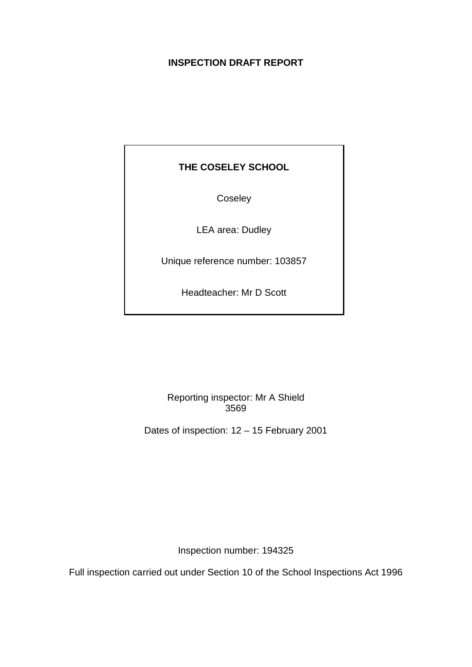## **INSPECTION DRAFT REPORT**

# **THE COSELEY SCHOOL**

Coseley

LEA area: Dudley

Unique reference number: 103857

Headteacher: Mr D Scott

Reporting inspector: Mr A Shield 3569

Dates of inspection: 12 – 15 February 2001

Inspection number: 194325

Full inspection carried out under Section 10 of the School Inspections Act 1996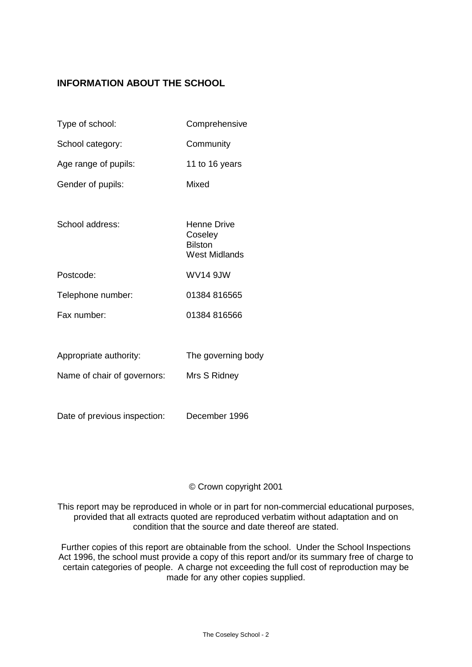## **INFORMATION ABOUT THE SCHOOL**

| Type of school:             | Comprehensive                                             |
|-----------------------------|-----------------------------------------------------------|
| School category:            | Community                                                 |
| Age range of pupils:        | 11 to 16 years                                            |
| Gender of pupils:           | Mixed                                                     |
|                             |                                                           |
| School address:             | Henne Drive<br>Coseley<br><b>Bilston</b><br>West Midlands |
| Postcode:                   | WV14 9JW                                                  |
| Telephone number:           | 01384 816565                                              |
| Fax number:                 | 01384 816566                                              |
|                             |                                                           |
| Appropriate authority:      | The governing body                                        |
| Name of chair of governors: | Mrs S Ridney                                              |
|                             |                                                           |

Date of previous inspection: December 1996

### © Crown copyright 2001

This report may be reproduced in whole or in part for non-commercial educational purposes, provided that all extracts quoted are reproduced verbatim without adaptation and on condition that the source and date thereof are stated.

Further copies of this report are obtainable from the school. Under the School Inspections Act 1996, the school must provide a copy of this report and/or its summary free of charge to certain categories of people. A charge not exceeding the full cost of reproduction may be made for any other copies supplied.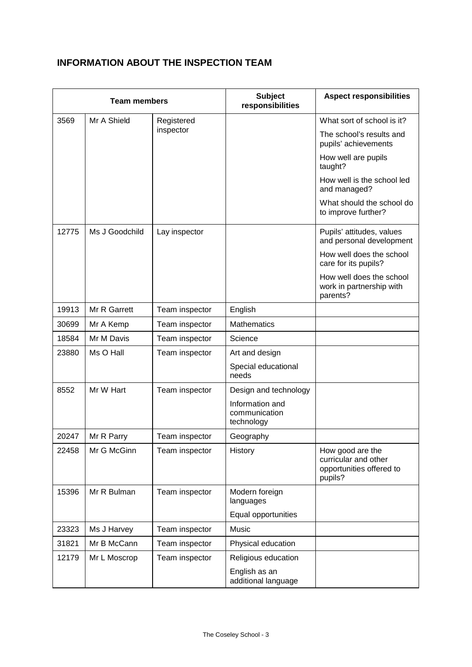# **INFORMATION ABOUT THE INSPECTION TEAM**

| <b>Team members</b>               |                |                | <b>Subject</b><br>responsibilities             | <b>Aspect responsibilities</b>                                                  |
|-----------------------------------|----------------|----------------|------------------------------------------------|---------------------------------------------------------------------------------|
| Mr A Shield<br>3569<br>Registered |                |                | What sort of school is it?                     |                                                                                 |
|                                   |                | inspector      |                                                | The school's results and<br>pupils' achievements                                |
|                                   |                |                |                                                | How well are pupils<br>taught?                                                  |
|                                   |                |                |                                                | How well is the school led<br>and managed?                                      |
|                                   |                |                |                                                | What should the school do<br>to improve further?                                |
| 12775                             | Ms J Goodchild | Lay inspector  |                                                | Pupils' attitudes, values<br>and personal development                           |
|                                   |                |                |                                                | How well does the school<br>care for its pupils?                                |
|                                   |                |                |                                                | How well does the school<br>work in partnership with<br>parents?                |
| 19913                             | Mr R Garrett   | Team inspector | English                                        |                                                                                 |
| 30699                             | Mr A Kemp      | Team inspector | <b>Mathematics</b>                             |                                                                                 |
| 18584                             | Mr M Davis     | Team inspector | Science                                        |                                                                                 |
| 23880                             | Ms O Hall      | Team inspector | Art and design                                 |                                                                                 |
|                                   |                |                | Special educational<br>needs                   |                                                                                 |
| 8552                              | Mr W Hart      | Team inspector | Design and technology                          |                                                                                 |
|                                   |                |                | Information and<br>communication<br>technology |                                                                                 |
| 20247                             | Mr R Parry     | Team inspector | Geography                                      |                                                                                 |
| 22458                             | Mr G McGinn    | Team inspector | History                                        | How good are the<br>curricular and other<br>opportunities offered to<br>pupils? |
| 15396                             | Mr R Bulman    | Team inspector | Modern foreign<br>languages                    |                                                                                 |
|                                   |                |                | Equal opportunities                            |                                                                                 |
| 23323                             | Ms J Harvey    | Team inspector | Music                                          |                                                                                 |
| 31821                             | Mr B McCann    | Team inspector | Physical education                             |                                                                                 |
| 12179                             | Mr L Moscrop   | Team inspector | Religious education                            |                                                                                 |
|                                   |                |                | English as an<br>additional language           |                                                                                 |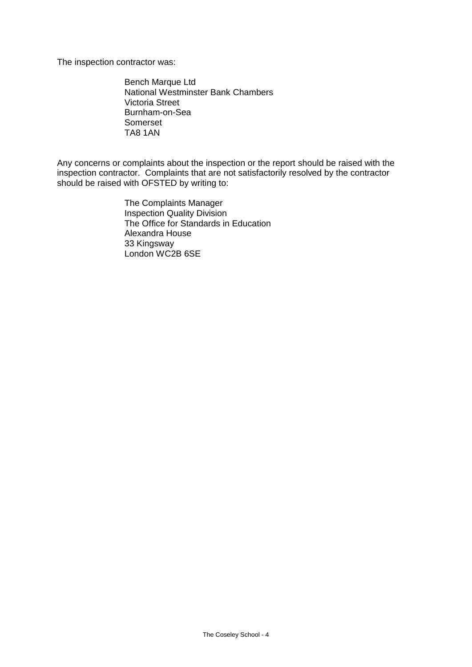The inspection contractor was:

Bench Marque Ltd National Westminster Bank Chambers Victoria Street Burnham-on-Sea Somerset TA8 1AN

Any concerns or complaints about the inspection or the report should be raised with the inspection contractor. Complaints that are not satisfactorily resolved by the contractor should be raised with OFSTED by writing to:

> The Complaints Manager Inspection Quality Division The Office for Standards in Education Alexandra House 33 Kingsway London WC2B 6SE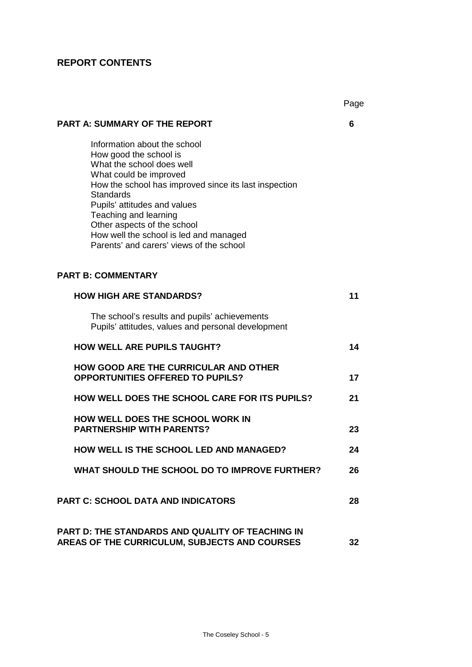# **REPORT CONTENTS**

|                                                                                                                                                                                                                                                                                                                                                                          | Page |
|--------------------------------------------------------------------------------------------------------------------------------------------------------------------------------------------------------------------------------------------------------------------------------------------------------------------------------------------------------------------------|------|
| <b>PART A: SUMMARY OF THE REPORT</b>                                                                                                                                                                                                                                                                                                                                     | 6    |
| Information about the school<br>How good the school is<br>What the school does well<br>What could be improved<br>How the school has improved since its last inspection<br><b>Standards</b><br>Pupils' attitudes and values<br>Teaching and learning<br>Other aspects of the school<br>How well the school is led and managed<br>Parents' and carers' views of the school |      |
| <b>PART B: COMMENTARY</b>                                                                                                                                                                                                                                                                                                                                                |      |
| <b>HOW HIGH ARE STANDARDS?</b>                                                                                                                                                                                                                                                                                                                                           | 11   |
| The school's results and pupils' achievements<br>Pupils' attitudes, values and personal development                                                                                                                                                                                                                                                                      |      |
| <b>HOW WELL ARE PUPILS TAUGHT?</b>                                                                                                                                                                                                                                                                                                                                       | 14   |
| <b>HOW GOOD ARE THE CURRICULAR AND OTHER</b><br><b>OPPORTUNITIES OFFERED TO PUPILS?</b>                                                                                                                                                                                                                                                                                  | 17   |
| <b>HOW WELL DOES THE SCHOOL CARE FOR ITS PUPILS?</b>                                                                                                                                                                                                                                                                                                                     | 21   |
| HOW WELL DOES THE SCHOOL WORK IN<br><b>PARTNERSHIP WITH PARENTS?</b>                                                                                                                                                                                                                                                                                                     | 23   |
| <b>HOW WELL IS THE SCHOOL LED AND MANAGED?</b>                                                                                                                                                                                                                                                                                                                           | 24   |
| WHAT SHOULD THE SCHOOL DO TO IMPROVE FURTHER?                                                                                                                                                                                                                                                                                                                            | 26   |
| <b>PART C: SCHOOL DATA AND INDICATORS</b>                                                                                                                                                                                                                                                                                                                                | 28   |
| <b>PART D: THE STANDARDS AND QUALITY OF TEACHING IN</b><br>AREAS OF THE CURRICULUM, SUBJECTS AND COURSES                                                                                                                                                                                                                                                                 | 32   |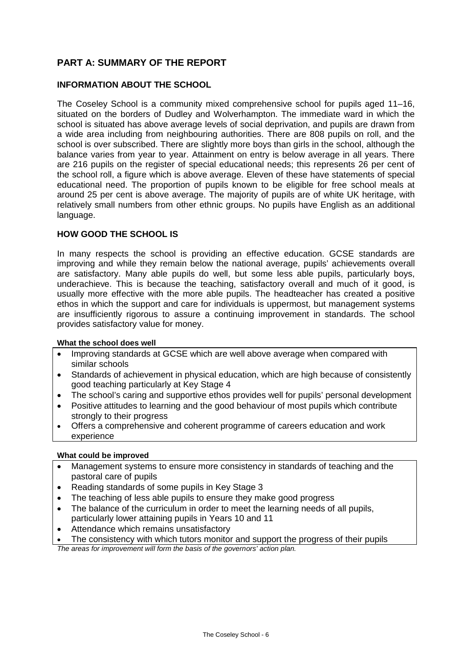## **PART A: SUMMARY OF THE REPORT**

### **INFORMATION ABOUT THE SCHOOL**

The Coseley School is a community mixed comprehensive school for pupils aged 11–16, situated on the borders of Dudley and Wolverhampton. The immediate ward in which the school is situated has above average levels of social deprivation, and pupils are drawn from a wide area including from neighbouring authorities. There are 808 pupils on roll, and the school is over subscribed. There are slightly more boys than girls in the school, although the balance varies from year to year. Attainment on entry is below average in all years. There are 216 pupils on the register of special educational needs; this represents 26 per cent of the school roll, a figure which is above average. Eleven of these have statements of special educational need. The proportion of pupils known to be eligible for free school meals at around 25 per cent is above average. The majority of pupils are of white UK heritage, with relatively small numbers from other ethnic groups. No pupils have English as an additional language.

## **HOW GOOD THE SCHOOL IS**

In many respects the school is providing an effective education. GCSE standards are improving and while they remain below the national average, pupils' achievements overall are satisfactory. Many able pupils do well, but some less able pupils, particularly boys, underachieve. This is because the teaching, satisfactory overall and much of it good, is usually more effective with the more able pupils. The headteacher has created a positive ethos in which the support and care for individuals is uppermost, but management systems are insufficiently rigorous to assure a continuing improvement in standards. The school provides satisfactory value for money.

### **What the school does well**

- Improving standards at GCSE which are well above average when compared with similar schools
- Standards of achievement in physical education, which are high because of consistently good teaching particularly at Key Stage 4
- The school's caring and supportive ethos provides well for pupils' personal development
- Positive attitudes to learning and the good behaviour of most pupils which contribute strongly to their progress
- Offers a comprehensive and coherent programme of careers education and work experience

### **What could be improved**

- Management systems to ensure more consistency in standards of teaching and the pastoral care of pupils
- Reading standards of some pupils in Key Stage 3
- The teaching of less able pupils to ensure they make good progress
- The balance of the curriculum in order to meet the learning needs of all pupils. particularly lower attaining pupils in Years 10 and 11
- Attendance which remains unsatisfactory
- The consistency with which tutors monitor and support the progress of their pupils

*The areas for improvement will form the basis of the governors' action plan.*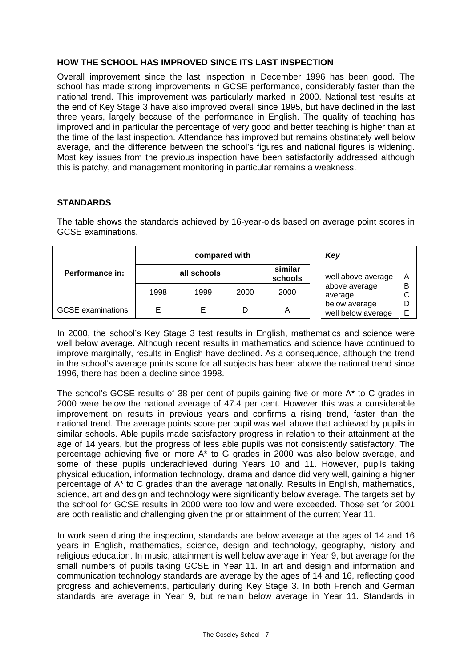### **HOW THE SCHOOL HAS IMPROVED SINCE ITS LAST INSPECTION**

Overall improvement since the last inspection in December 1996 has been good. The school has made strong improvements in GCSE performance, considerably faster than the national trend. This improvement was particularly marked in 2000. National test results at the end of Key Stage 3 have also improved overall since 1995, but have declined in the last three years, largely because of the performance in English. The quality of teaching has improved and in particular the percentage of very good and better teaching is higher than at the time of the last inspection. Attendance has improved but remains obstinately well below average, and the difference between the school's figures and national figures is widening. Most key issues from the previous inspection have been satisfactorily addressed although this is patchy, and management monitoring in particular remains a weakness.

### **STANDARDS**

The table shows the standards achieved by 16-year-olds based on average point scores in GCSE examinations.

|                          |      | compared with | Key  |                    |                                     |             |
|--------------------------|------|---------------|------|--------------------|-------------------------------------|-------------|
| Performance in:          |      | all schools   |      | similar<br>schools | well above average                  | Α<br>B<br>F |
|                          | 1998 | 1999          | 2000 | 2000               | above average<br>average            |             |
| <b>GCSE</b> examinations |      | Е             | D    | Α                  | below average<br>well below average |             |

In 2000, the school's Key Stage 3 test results in English, mathematics and science were well below average. Although recent results in mathematics and science have continued to improve marginally, results in English have declined. As a consequence, although the trend in the school's average points score for all subjects has been above the national trend since 1996, there has been a decline since 1998.

The school's GCSE results of 38 per cent of pupils gaining five or more A\* to C grades in 2000 were below the national average of 47.4 per cent. However this was a considerable improvement on results in previous years and confirms a rising trend, faster than the national trend. The average points score per pupil was well above that achieved by pupils in similar schools. Able pupils made satisfactory progress in relation to their attainment at the age of 14 years, but the progress of less able pupils was not consistently satisfactory. The percentage achieving five or more A\* to G grades in 2000 was also below average, and some of these pupils underachieved during Years 10 and 11. However, pupils taking physical education, information technology, drama and dance did very well, gaining a higher percentage of A\* to C grades than the average nationally. Results in English, mathematics, science, art and design and technology were significantly below average. The targets set by the school for GCSE results in 2000 were too low and were exceeded. Those set for 2001 are both realistic and challenging given the prior attainment of the current Year 11.

In work seen during the inspection, standards are below average at the ages of 14 and 16 years in English, mathematics, science, design and technology, geography, history and religious education. In music, attainment is well below average in Year 9, but average for the small numbers of pupils taking GCSE in Year 11. In art and design and information and communication technology standards are average by the ages of 14 and 16, reflecting good progress and achievements, particularly during Key Stage 3. In both French and German standards are average in Year 9, but remain below average in Year 11. Standards in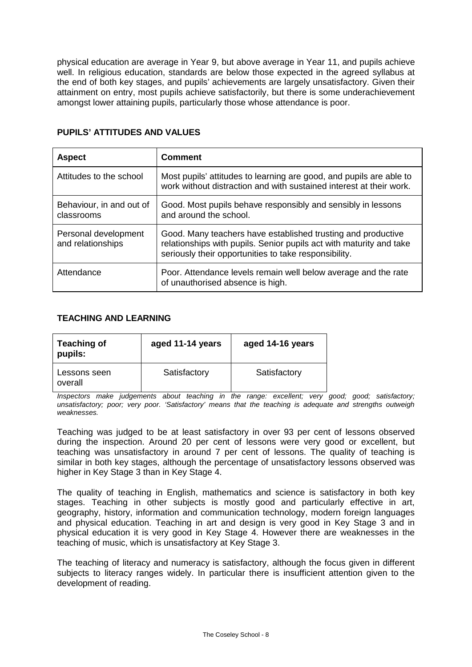physical education are average in Year 9, but above average in Year 11, and pupils achieve well. In religious education, standards are below those expected in the agreed syllabus at the end of both key stages, and pupils' achievements are largely unsatisfactory. Given their attainment on entry, most pupils achieve satisfactorily, but there is some underachievement amongst lower attaining pupils, particularly those whose attendance is poor.

| <b>Aspect</b>                             | <b>Comment</b>                                                                                                                                                                               |
|-------------------------------------------|----------------------------------------------------------------------------------------------------------------------------------------------------------------------------------------------|
| Attitudes to the school                   | Most pupils' attitudes to learning are good, and pupils are able to<br>work without distraction and with sustained interest at their work.                                                   |
| Behaviour, in and out of<br>classrooms    | Good. Most pupils behave responsibly and sensibly in lessons<br>and around the school.                                                                                                       |
| Personal development<br>and relationships | Good. Many teachers have established trusting and productive<br>relationships with pupils. Senior pupils act with maturity and take<br>seriously their opportunities to take responsibility. |
| Attendance                                | Poor. Attendance levels remain well below average and the rate<br>of unauthorised absence is high.                                                                                           |

### **PUPILS' ATTITUDES AND VALUES**

### **TEACHING AND LEARNING**

| <b>Teaching of</b><br>pupils: | aged 11-14 years | aged 14-16 years |  |  |
|-------------------------------|------------------|------------------|--|--|
| Lessons seen<br>overall       | Satisfactory     | Satisfactory     |  |  |

*Inspectors make judgements about teaching in the range: excellent; very good; good; satisfactory; unsatisfactory; poor; very poor. 'Satisfactory' means that the teaching is adequate and strengths outweigh weaknesses.*

Teaching was judged to be at least satisfactory in over 93 per cent of lessons observed during the inspection. Around 20 per cent of lessons were very good or excellent, but teaching was unsatisfactory in around 7 per cent of lessons. The quality of teaching is similar in both key stages, although the percentage of unsatisfactory lessons observed was higher in Key Stage 3 than in Key Stage 4.

The quality of teaching in English, mathematics and science is satisfactory in both key stages. Teaching in other subjects is mostly good and particularly effective in art, geography, history, information and communication technology, modern foreign languages and physical education. Teaching in art and design is very good in Key Stage 3 and in physical education it is very good in Key Stage 4. However there are weaknesses in the teaching of music, which is unsatisfactory at Key Stage 3.

The teaching of literacy and numeracy is satisfactory, although the focus given in different subjects to literacy ranges widely. In particular there is insufficient attention given to the development of reading.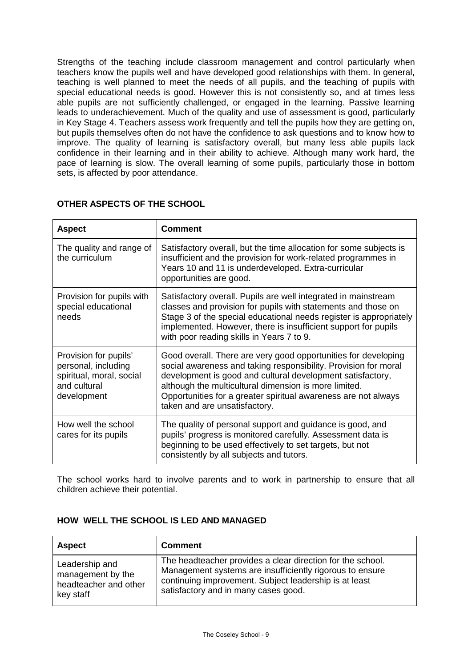Strengths of the teaching include classroom management and control particularly when teachers know the pupils well and have developed good relationships with them. In general, teaching is well planned to meet the needs of all pupils, and the teaching of pupils with special educational needs is good. However this is not consistently so, and at times less able pupils are not sufficiently challenged, or engaged in the learning. Passive learning leads to underachievement. Much of the quality and use of assessment is good, particularly in Key Stage 4. Teachers assess work frequently and tell the pupils how they are getting on, but pupils themselves often do not have the confidence to ask questions and to know how to improve. The quality of learning is satisfactory overall, but many less able pupils lack confidence in their learning and in their ability to achieve. Although many work hard, the pace of learning is slow. The overall learning of some pupils, particularly those in bottom sets, is affected by poor attendance.

| <b>Aspect</b>                                                                                           | <b>Comment</b>                                                                                                                                                                                                                                                                                                                                              |
|---------------------------------------------------------------------------------------------------------|-------------------------------------------------------------------------------------------------------------------------------------------------------------------------------------------------------------------------------------------------------------------------------------------------------------------------------------------------------------|
| The quality and range of<br>the curriculum                                                              | Satisfactory overall, but the time allocation for some subjects is<br>insufficient and the provision for work-related programmes in<br>Years 10 and 11 is underdeveloped. Extra-curricular<br>opportunities are good.                                                                                                                                       |
| Provision for pupils with<br>special educational<br>needs                                               | Satisfactory overall. Pupils are well integrated in mainstream<br>classes and provision for pupils with statements and those on<br>Stage 3 of the special educational needs register is appropriately<br>implemented. However, there is insufficient support for pupils<br>with poor reading skills in Years 7 to 9.                                        |
| Provision for pupils'<br>personal, including<br>spiritual, moral, social<br>and cultural<br>development | Good overall. There are very good opportunities for developing<br>social awareness and taking responsibility. Provision for moral<br>development is good and cultural development satisfactory,<br>although the multicultural dimension is more limited.<br>Opportunities for a greater spiritual awareness are not always<br>taken and are unsatisfactory. |
| How well the school<br>cares for its pupils                                                             | The quality of personal support and guidance is good, and<br>pupils' progress is monitored carefully. Assessment data is<br>beginning to be used effectively to set targets, but not<br>consistently by all subjects and tutors.                                                                                                                            |

## **OTHER ASPECTS OF THE SCHOOL**

The school works hard to involve parents and to work in partnership to ensure that all children achieve their potential.

| HOW WELL THE SCHOOL IS LED AND MANAGED |  |
|----------------------------------------|--|
|----------------------------------------|--|

| <b>Aspect</b>         | <b>Comment</b>                                             |
|-----------------------|------------------------------------------------------------|
| Leadership and        | The headteacher provides a clear direction for the school. |
| management by the     | Management systems are insufficiently rigorous to ensure   |
| headteacher and other | continuing improvement. Subject leadership is at least     |
| key staff             | satisfactory and in many cases good.                       |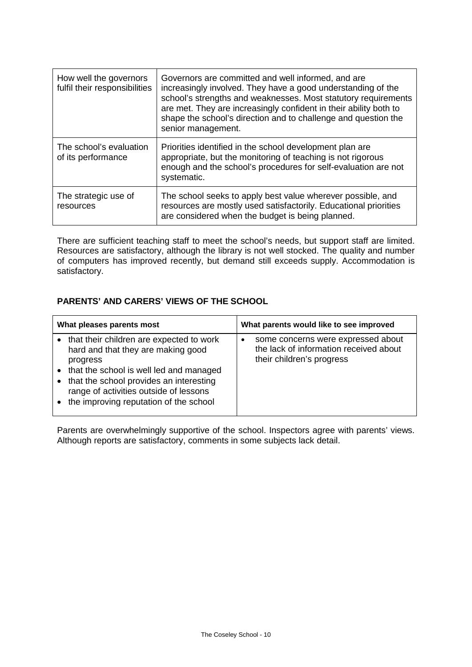| How well the governors<br>fulfil their responsibilities | Governors are committed and well informed, and are<br>increasingly involved. They have a good understanding of the<br>school's strengths and weaknesses. Most statutory requirements<br>are met. They are increasingly confident in their ability both to<br>shape the school's direction and to challenge and question the<br>senior management. |
|---------------------------------------------------------|---------------------------------------------------------------------------------------------------------------------------------------------------------------------------------------------------------------------------------------------------------------------------------------------------------------------------------------------------|
| The school's evaluation<br>of its performance           | Priorities identified in the school development plan are<br>appropriate, but the monitoring of teaching is not rigorous<br>enough and the school's procedures for self-evaluation are not<br>systematic.                                                                                                                                          |
| The strategic use of<br>resources                       | The school seeks to apply best value wherever possible, and<br>resources are mostly used satisfactorily. Educational priorities<br>are considered when the budget is being planned.                                                                                                                                                               |

There are sufficient teaching staff to meet the school's needs, but support staff are limited. Resources are satisfactory, although the library is not well stocked. The quality and number of computers has improved recently, but demand still exceeds supply. Accommodation is satisfactory.

## **PARENTS' AND CARERS' VIEWS OF THE SCHOOL**

| What pleases parents most |                                                                                                                                                                                                                                                                        |           | What parents would like to see improved                                                                   |
|---------------------------|------------------------------------------------------------------------------------------------------------------------------------------------------------------------------------------------------------------------------------------------------------------------|-----------|-----------------------------------------------------------------------------------------------------------|
| $\bullet$<br>$\bullet$    | that their children are expected to work<br>hard and that they are making good<br>progress<br>• that the school is well led and managed<br>that the school provides an interesting<br>range of activities outside of lessons<br>the improving reputation of the school | $\bullet$ | some concerns were expressed about<br>the lack of information received about<br>their children's progress |

Parents are overwhelmingly supportive of the school. Inspectors agree with parents' views. Although reports are satisfactory, comments in some subjects lack detail.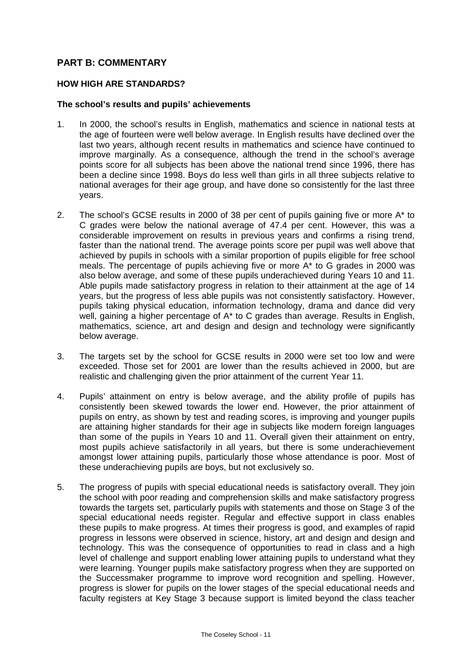## **PART B: COMMENTARY**

### **HOW HIGH ARE STANDARDS?**

### **The school's results and pupils' achievements**

- 1. In 2000, the school's results in English, mathematics and science in national tests at the age of fourteen were well below average. In English results have declined over the last two years, although recent results in mathematics and science have continued to improve marginally. As a consequence, although the trend in the school's average points score for all subjects has been above the national trend since 1996, there has been a decline since 1998. Boys do less well than girls in all three subjects relative to national averages for their age group, and have done so consistently for the last three years.
- 2. The school's GCSE results in 2000 of 38 per cent of pupils gaining five or more A\* to C grades were below the national average of 47.4 per cent. However, this was a considerable improvement on results in previous years and confirms a rising trend, faster than the national trend. The average points score per pupil was well above that achieved by pupils in schools with a similar proportion of pupils eligible for free school meals. The percentage of pupils achieving five or more A\* to G grades in 2000 was also below average, and some of these pupils underachieved during Years 10 and 11. Able pupils made satisfactory progress in relation to their attainment at the age of 14 years, but the progress of less able pupils was not consistently satisfactory. However, pupils taking physical education, information technology, drama and dance did very well, gaining a higher percentage of A\* to C grades than average. Results in English, mathematics, science, art and design and design and technology were significantly below average.
- 3. The targets set by the school for GCSE results in 2000 were set too low and were exceeded. Those set for 2001 are lower than the results achieved in 2000, but are realistic and challenging given the prior attainment of the current Year 11.
- 4. Pupils' attainment on entry is below average, and the ability profile of pupils has consistently been skewed towards the lower end. However, the prior attainment of pupils on entry, as shown by test and reading scores, is improving and younger pupils are attaining higher standards for their age in subjects like modern foreign languages than some of the pupils in Years 10 and 11. Overall given their attainment on entry, most pupils achieve satisfactorily in all years, but there is some underachievement amongst lower attaining pupils, particularly those whose attendance is poor. Most of these underachieving pupils are boys, but not exclusively so.
- 5. The progress of pupils with special educational needs is satisfactory overall. They join the school with poor reading and comprehension skills and make satisfactory progress towards the targets set, particularly pupils with statements and those on Stage 3 of the special educational needs register. Regular and effective support in class enables these pupils to make progress. At times their progress is good, and examples of rapid progress in lessons were observed in science, history, art and design and design and technology. This was the consequence of opportunities to read in class and a high level of challenge and support enabling lower attaining pupils to understand what they were learning. Younger pupils make satisfactory progress when they are supported on the Successmaker programme to improve word recognition and spelling. However, progress is slower for pupils on the lower stages of the special educational needs and faculty registers at Key Stage 3 because support is limited beyond the class teacher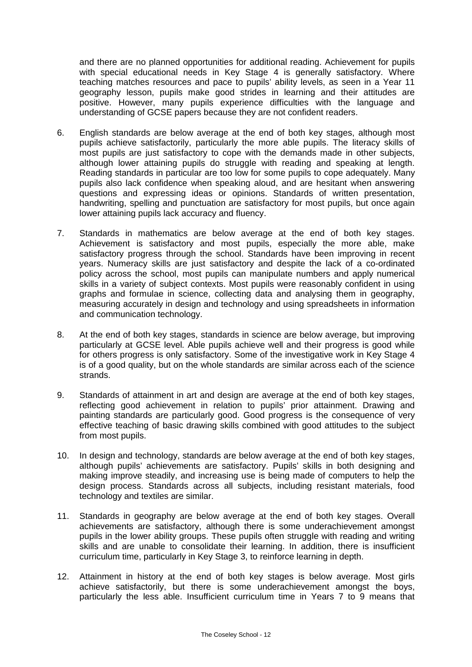and there are no planned opportunities for additional reading. Achievement for pupils with special educational needs in Key Stage 4 is generally satisfactory. Where teaching matches resources and pace to pupils' ability levels, as seen in a Year 11 geography lesson, pupils make good strides in learning and their attitudes are positive. However, many pupils experience difficulties with the language and understanding of GCSE papers because they are not confident readers.

- 6. English standards are below average at the end of both key stages, although most pupils achieve satisfactorily, particularly the more able pupils. The literacy skills of most pupils are just satisfactory to cope with the demands made in other subjects, although lower attaining pupils do struggle with reading and speaking at length. Reading standards in particular are too low for some pupils to cope adequately. Many pupils also lack confidence when speaking aloud, and are hesitant when answering questions and expressing ideas or opinions. Standards of written presentation, handwriting, spelling and punctuation are satisfactory for most pupils, but once again lower attaining pupils lack accuracy and fluency.
- 7. Standards in mathematics are below average at the end of both key stages. Achievement is satisfactory and most pupils, especially the more able, make satisfactory progress through the school. Standards have been improving in recent years. Numeracy skills are just satisfactory and despite the lack of a co-ordinated policy across the school, most pupils can manipulate numbers and apply numerical skills in a variety of subject contexts. Most pupils were reasonably confident in using graphs and formulae in science, collecting data and analysing them in geography, measuring accurately in design and technology and using spreadsheets in information and communication technology.
- 8. At the end of both key stages, standards in science are below average, but improving particularly at GCSE level. Able pupils achieve well and their progress is good while for others progress is only satisfactory. Some of the investigative work in Key Stage 4 is of a good quality, but on the whole standards are similar across each of the science strands.
- 9. Standards of attainment in art and design are average at the end of both key stages, reflecting good achievement in relation to pupils' prior attainment. Drawing and painting standards are particularly good. Good progress is the consequence of very effective teaching of basic drawing skills combined with good attitudes to the subject from most pupils.
- 10. In design and technology, standards are below average at the end of both key stages, although pupils' achievements are satisfactory. Pupils' skills in both designing and making improve steadily, and increasing use is being made of computers to help the design process. Standards across all subjects, including resistant materials, food technology and textiles are similar.
- 11. Standards in geography are below average at the end of both key stages. Overall achievements are satisfactory, although there is some underachievement amongst pupils in the lower ability groups. These pupils often struggle with reading and writing skills and are unable to consolidate their learning. In addition, there is insufficient curriculum time, particularly in Key Stage 3, to reinforce learning in depth.
- 12. Attainment in history at the end of both key stages is below average. Most girls achieve satisfactorily, but there is some underachievement amongst the boys, particularly the less able. Insufficient curriculum time in Years 7 to 9 means that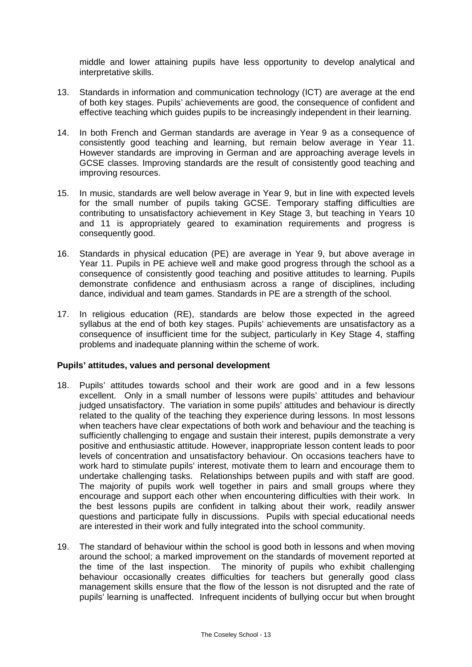middle and lower attaining pupils have less opportunity to develop analytical and interpretative skills.

- 13. Standards in information and communication technology (ICT) are average at the end of both key stages. Pupils' achievements are good, the consequence of confident and effective teaching which guides pupils to be increasingly independent in their learning.
- 14. In both French and German standards are average in Year 9 as a consequence of consistently good teaching and learning, but remain below average in Year 11. However standards are improving in German and are approaching average levels in GCSE classes. Improving standards are the result of consistently good teaching and improving resources.
- 15. In music, standards are well below average in Year 9, but in line with expected levels for the small number of pupils taking GCSE. Temporary staffing difficulties are contributing to unsatisfactory achievement in Key Stage 3, but teaching in Years 10 and 11 is appropriately geared to examination requirements and progress is consequently good.
- 16. Standards in physical education (PE) are average in Year 9, but above average in Year 11. Pupils in PE achieve well and make good progress through the school as a consequence of consistently good teaching and positive attitudes to learning. Pupils demonstrate confidence and enthusiasm across a range of disciplines, including dance, individual and team games. Standards in PE are a strength of the school.
- 17. In religious education (RE), standards are below those expected in the agreed syllabus at the end of both key stages. Pupils' achievements are unsatisfactory as a consequence of insufficient time for the subject, particularly in Key Stage 4, staffing problems and inadequate planning within the scheme of work.

### **Pupils' attitudes, values and personal development**

- 18. Pupils' attitudes towards school and their work are good and in a few lessons excellent. Only in a small number of lessons were pupils' attitudes and behaviour judged unsatisfactory. The variation in some pupils' attitudes and behaviour is directly related to the quality of the teaching they experience during lessons. In most lessons when teachers have clear expectations of both work and behaviour and the teaching is sufficiently challenging to engage and sustain their interest, pupils demonstrate a very positive and enthusiastic attitude. However, inappropriate lesson content leads to poor levels of concentration and unsatisfactory behaviour. On occasions teachers have to work hard to stimulate pupils' interest, motivate them to learn and encourage them to undertake challenging tasks. Relationships between pupils and with staff are good. The majority of pupils work well together in pairs and small groups where they encourage and support each other when encountering difficulties with their work. In the best lessons pupils are confident in talking about their work, readily answer questions and participate fully in discussions. Pupils with special educational needs are interested in their work and fully integrated into the school community.
- 19. The standard of behaviour within the school is good both in lessons and when moving around the school; a marked improvement on the standards of movement reported at the time of the last inspection. The minority of pupils who exhibit challenging behaviour occasionally creates difficulties for teachers but generally good class management skills ensure that the flow of the lesson is not disrupted and the rate of pupils' learning is unaffected. Infrequent incidents of bullying occur but when brought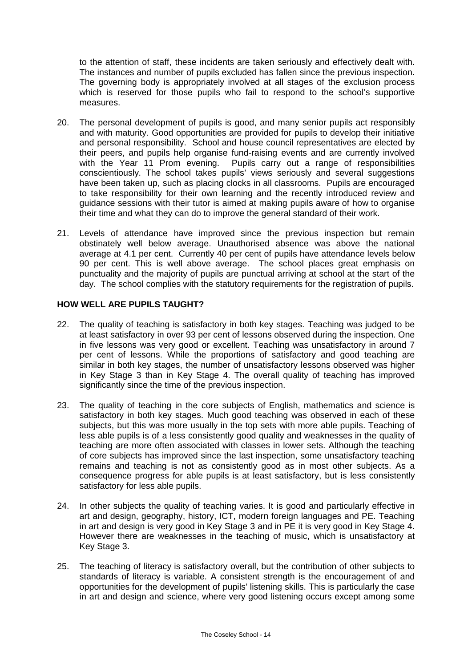to the attention of staff, these incidents are taken seriously and effectively dealt with. The instances and number of pupils excluded has fallen since the previous inspection. The governing body is appropriately involved at all stages of the exclusion process which is reserved for those pupils who fail to respond to the school's supportive measures.

- 20. The personal development of pupils is good, and many senior pupils act responsibly and with maturity. Good opportunities are provided for pupils to develop their initiative and personal responsibility. School and house council representatives are elected by their peers, and pupils help organise fund-raising events and are currently involved with the Year 11 Prom evening. Pupils carry out a range of responsibilities conscientiously. The school takes pupils' views seriously and several suggestions have been taken up, such as placing clocks in all classrooms. Pupils are encouraged to take responsibility for their own learning and the recently introduced review and guidance sessions with their tutor is aimed at making pupils aware of how to organise their time and what they can do to improve the general standard of their work.
- 21. Levels of attendance have improved since the previous inspection but remain obstinately well below average. Unauthorised absence was above the national average at 4.1 per cent. Currently 40 per cent of pupils have attendance levels below 90 per cent. This is well above average. The school places great emphasis on punctuality and the majority of pupils are punctual arriving at school at the start of the day. The school complies with the statutory requirements for the registration of pupils.

### **HOW WELL ARE PUPILS TAUGHT?**

- 22. The quality of teaching is satisfactory in both key stages. Teaching was judged to be at least satisfactory in over 93 per cent of lessons observed during the inspection. One in five lessons was very good or excellent. Teaching was unsatisfactory in around 7 per cent of lessons. While the proportions of satisfactory and good teaching are similar in both key stages, the number of unsatisfactory lessons observed was higher in Key Stage 3 than in Key Stage 4. The overall quality of teaching has improved significantly since the time of the previous inspection.
- 23. The quality of teaching in the core subjects of English, mathematics and science is satisfactory in both key stages. Much good teaching was observed in each of these subjects, but this was more usually in the top sets with more able pupils. Teaching of less able pupils is of a less consistently good quality and weaknesses in the quality of teaching are more often associated with classes in lower sets. Although the teaching of core subjects has improved since the last inspection, some unsatisfactory teaching remains and teaching is not as consistently good as in most other subjects. As a consequence progress for able pupils is at least satisfactory, but is less consistently satisfactory for less able pupils.
- 24. In other subjects the quality of teaching varies. It is good and particularly effective in art and design, geography, history, ICT, modern foreign languages and PE. Teaching in art and design is very good in Key Stage 3 and in PE it is very good in Key Stage 4. However there are weaknesses in the teaching of music, which is unsatisfactory at Key Stage 3.
- 25. The teaching of literacy is satisfactory overall, but the contribution of other subjects to standards of literacy is variable. A consistent strength is the encouragement of and opportunities for the development of pupils' listening skills. This is particularly the case in art and design and science, where very good listening occurs except among some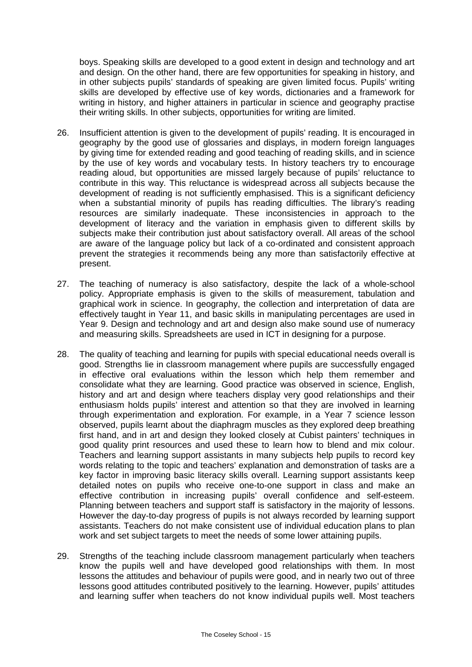boys. Speaking skills are developed to a good extent in design and technology and art and design. On the other hand, there are few opportunities for speaking in history, and in other subjects pupils' standards of speaking are given limited focus. Pupils' writing skills are developed by effective use of key words, dictionaries and a framework for writing in history, and higher attainers in particular in science and geography practise their writing skills. In other subjects, opportunities for writing are limited.

- 26. Insufficient attention is given to the development of pupils' reading. It is encouraged in geography by the good use of glossaries and displays, in modern foreign languages by giving time for extended reading and good teaching of reading skills, and in science by the use of key words and vocabulary tests. In history teachers try to encourage reading aloud, but opportunities are missed largely because of pupils' reluctance to contribute in this way. This reluctance is widespread across all subjects because the development of reading is not sufficiently emphasised. This is a significant deficiency when a substantial minority of pupils has reading difficulties. The library's reading resources are similarly inadequate. These inconsistencies in approach to the development of literacy and the variation in emphasis given to different skills by subjects make their contribution just about satisfactory overall. All areas of the school are aware of the language policy but lack of a co-ordinated and consistent approach prevent the strategies it recommends being any more than satisfactorily effective at present.
- 27. The teaching of numeracy is also satisfactory, despite the lack of a whole-school policy. Appropriate emphasis is given to the skills of measurement, tabulation and graphical work in science. In geography, the collection and interpretation of data are effectively taught in Year 11, and basic skills in manipulating percentages are used in Year 9. Design and technology and art and design also make sound use of numeracy and measuring skills. Spreadsheets are used in ICT in designing for a purpose.
- 28. The quality of teaching and learning for pupils with special educational needs overall is good. Strengths lie in classroom management where pupils are successfully engaged in effective oral evaluations within the lesson which help them remember and consolidate what they are learning. Good practice was observed in science, English, history and art and design where teachers display very good relationships and their enthusiasm holds pupils' interest and attention so that they are involved in learning through experimentation and exploration. For example, in a Year 7 science lesson observed, pupils learnt about the diaphragm muscles as they explored deep breathing first hand, and in art and design they looked closely at Cubist painters' techniques in good quality print resources and used these to learn how to blend and mix colour. Teachers and learning support assistants in many subjects help pupils to record key words relating to the topic and teachers' explanation and demonstration of tasks are a key factor in improving basic literacy skills overall. Learning support assistants keep detailed notes on pupils who receive one-to-one support in class and make an effective contribution in increasing pupils' overall confidence and self-esteem. Planning between teachers and support staff is satisfactory in the majority of lessons. However the day-to-day progress of pupils is not always recorded by learning support assistants. Teachers do not make consistent use of individual education plans to plan work and set subject targets to meet the needs of some lower attaining pupils.
- 29. Strengths of the teaching include classroom management particularly when teachers know the pupils well and have developed good relationships with them. In most lessons the attitudes and behaviour of pupils were good, and in nearly two out of three lessons good attitudes contributed positively to the learning. However, pupils' attitudes and learning suffer when teachers do not know individual pupils well. Most teachers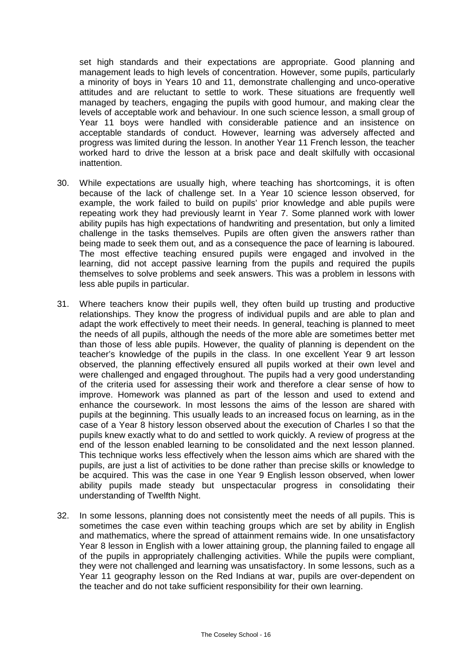set high standards and their expectations are appropriate. Good planning and management leads to high levels of concentration. However, some pupils, particularly a minority of boys in Years 10 and 11, demonstrate challenging and unco-operative attitudes and are reluctant to settle to work. These situations are frequently well managed by teachers, engaging the pupils with good humour, and making clear the levels of acceptable work and behaviour. In one such science lesson, a small group of Year 11 boys were handled with considerable patience and an insistence on acceptable standards of conduct. However, learning was adversely affected and progress was limited during the lesson. In another Year 11 French lesson, the teacher worked hard to drive the lesson at a brisk pace and dealt skilfully with occasional inattention.

- 30. While expectations are usually high, where teaching has shortcomings, it is often because of the lack of challenge set. In a Year 10 science lesson observed, for example, the work failed to build on pupils' prior knowledge and able pupils were repeating work they had previously learnt in Year 7. Some planned work with lower ability pupils has high expectations of handwriting and presentation, but only a limited challenge in the tasks themselves. Pupils are often given the answers rather than being made to seek them out, and as a consequence the pace of learning is laboured. The most effective teaching ensured pupils were engaged and involved in the learning, did not accept passive learning from the pupils and required the pupils themselves to solve problems and seek answers. This was a problem in lessons with less able pupils in particular.
- 31. Where teachers know their pupils well, they often build up trusting and productive relationships. They know the progress of individual pupils and are able to plan and adapt the work effectively to meet their needs. In general, teaching is planned to meet the needs of all pupils, although the needs of the more able are sometimes better met than those of less able pupils. However, the quality of planning is dependent on the teacher's knowledge of the pupils in the class. In one excellent Year 9 art lesson observed, the planning effectively ensured all pupils worked at their own level and were challenged and engaged throughout. The pupils had a very good understanding of the criteria used for assessing their work and therefore a clear sense of how to improve. Homework was planned as part of the lesson and used to extend and enhance the coursework. In most lessons the aims of the lesson are shared with pupils at the beginning. This usually leads to an increased focus on learning, as in the case of a Year 8 history lesson observed about the execution of Charles I so that the pupils knew exactly what to do and settled to work quickly. A review of progress at the end of the lesson enabled learning to be consolidated and the next lesson planned. This technique works less effectively when the lesson aims which are shared with the pupils, are just a list of activities to be done rather than precise skills or knowledge to be acquired. This was the case in one Year 9 English lesson observed, when lower ability pupils made steady but unspectacular progress in consolidating their understanding of Twelfth Night.
- 32. In some lessons, planning does not consistently meet the needs of all pupils. This is sometimes the case even within teaching groups which are set by ability in English and mathematics, where the spread of attainment remains wide. In one unsatisfactory Year 8 lesson in English with a lower attaining group, the planning failed to engage all of the pupils in appropriately challenging activities. While the pupils were compliant, they were not challenged and learning was unsatisfactory. In some lessons, such as a Year 11 geography lesson on the Red Indians at war, pupils are over-dependent on the teacher and do not take sufficient responsibility for their own learning.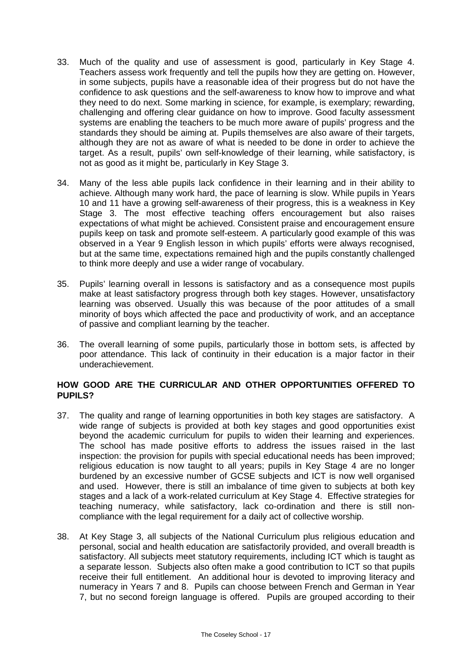- 33. Much of the quality and use of assessment is good, particularly in Key Stage 4. Teachers assess work frequently and tell the pupils how they are getting on. However, in some subjects, pupils have a reasonable idea of their progress but do not have the confidence to ask questions and the self-awareness to know how to improve and what they need to do next. Some marking in science, for example, is exemplary; rewarding, challenging and offering clear guidance on how to improve. Good faculty assessment systems are enabling the teachers to be much more aware of pupils' progress and the standards they should be aiming at. Pupils themselves are also aware of their targets, although they are not as aware of what is needed to be done in order to achieve the target. As a result, pupils' own self-knowledge of their learning, while satisfactory, is not as good as it might be, particularly in Key Stage 3.
- 34. Many of the less able pupils lack confidence in their learning and in their ability to achieve. Although many work hard, the pace of learning is slow. While pupils in Years 10 and 11 have a growing self-awareness of their progress, this is a weakness in Key Stage 3. The most effective teaching offers encouragement but also raises expectations of what might be achieved. Consistent praise and encouragement ensure pupils keep on task and promote self-esteem. A particularly good example of this was observed in a Year 9 English lesson in which pupils' efforts were always recognised, but at the same time, expectations remained high and the pupils constantly challenged to think more deeply and use a wider range of vocabulary.
- 35. Pupils' learning overall in lessons is satisfactory and as a consequence most pupils make at least satisfactory progress through both key stages. However, unsatisfactory learning was observed. Usually this was because of the poor attitudes of a small minority of boys which affected the pace and productivity of work, and an acceptance of passive and compliant learning by the teacher.
- 36. The overall learning of some pupils, particularly those in bottom sets, is affected by poor attendance. This lack of continuity in their education is a major factor in their underachievement.

## **HOW GOOD ARE THE CURRICULAR AND OTHER OPPORTUNITIES OFFERED TO PUPILS?**

- 37. The quality and range of learning opportunities in both key stages are satisfactory. A wide range of subjects is provided at both key stages and good opportunities exist beyond the academic curriculum for pupils to widen their learning and experiences. The school has made positive efforts to address the issues raised in the last inspection: the provision for pupils with special educational needs has been improved; religious education is now taught to all years; pupils in Key Stage 4 are no longer burdened by an excessive number of GCSE subjects and ICT is now well organised and used. However, there is still an imbalance of time given to subjects at both key stages and a lack of a work-related curriculum at Key Stage 4. Effective strategies for teaching numeracy, while satisfactory, lack co-ordination and there is still noncompliance with the legal requirement for a daily act of collective worship.
- 38. At Key Stage 3, all subjects of the National Curriculum plus religious education and personal, social and health education are satisfactorily provided, and overall breadth is satisfactory. All subjects meet statutory requirements, including ICT which is taught as a separate lesson. Subjects also often make a good contribution to ICT so that pupils receive their full entitlement. An additional hour is devoted to improving literacy and numeracy in Years 7 and 8. Pupils can choose between French and German in Year 7, but no second foreign language is offered. Pupils are grouped according to their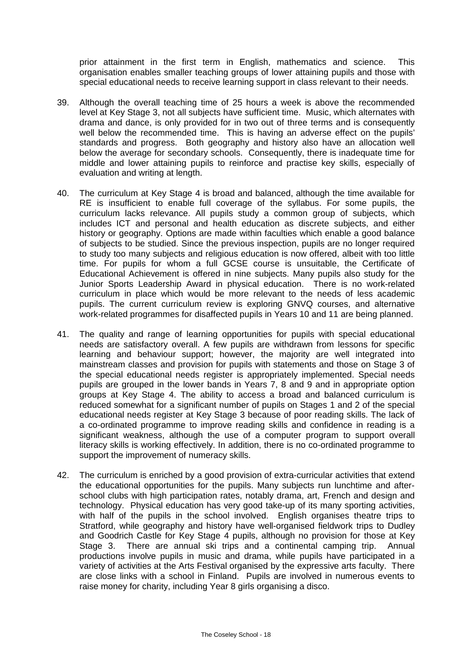prior attainment in the first term in English, mathematics and science. This organisation enables smaller teaching groups of lower attaining pupils and those with special educational needs to receive learning support in class relevant to their needs.

- 39. Although the overall teaching time of 25 hours a week is above the recommended level at Key Stage 3, not all subjects have sufficient time. Music, which alternates with drama and dance, is only provided for in two out of three terms and is consequently well below the recommended time. This is having an adverse effect on the pupils' standards and progress. Both geography and history also have an allocation well below the average for secondary schools. Consequently, there is inadequate time for middle and lower attaining pupils to reinforce and practise key skills, especially of evaluation and writing at length.
- 40. The curriculum at Key Stage 4 is broad and balanced, although the time available for RE is insufficient to enable full coverage of the syllabus. For some pupils, the curriculum lacks relevance. All pupils study a common group of subjects, which includes ICT and personal and health education as discrete subjects, and either history or geography. Options are made within faculties which enable a good balance of subjects to be studied. Since the previous inspection, pupils are no longer required to study too many subjects and religious education is now offered, albeit with too little time. For pupils for whom a full GCSE course is unsuitable, the Certificate of Educational Achievement is offered in nine subjects. Many pupils also study for the Junior Sports Leadership Award in physical education. There is no work-related curriculum in place which would be more relevant to the needs of less academic pupils. The current curriculum review is exploring GNVQ courses, and alternative work-related programmes for disaffected pupils in Years 10 and 11 are being planned.
- 41. The quality and range of learning opportunities for pupils with special educational needs are satisfactory overall. A few pupils are withdrawn from lessons for specific learning and behaviour support; however, the majority are well integrated into mainstream classes and provision for pupils with statements and those on Stage 3 of the special educational needs register is appropriately implemented. Special needs pupils are grouped in the lower bands in Years 7, 8 and 9 and in appropriate option groups at Key Stage 4. The ability to access a broad and balanced curriculum is reduced somewhat for a significant number of pupils on Stages 1 and 2 of the special educational needs register at Key Stage 3 because of poor reading skills. The lack of a co-ordinated programme to improve reading skills and confidence in reading is a significant weakness, although the use of a computer program to support overall literacy skills is working effectively. In addition, there is no co-ordinated programme to support the improvement of numeracy skills.
- 42. The curriculum is enriched by a good provision of extra-curricular activities that extend the educational opportunities for the pupils. Many subjects run lunchtime and afterschool clubs with high participation rates, notably drama, art, French and design and technology. Physical education has very good take-up of its many sporting activities, with half of the pupils in the school involved. English organises theatre trips to Stratford, while geography and history have well-organised fieldwork trips to Dudley and Goodrich Castle for Key Stage 4 pupils, although no provision for those at Key Stage 3. There are annual ski trips and a continental camping trip. Annual productions involve pupils in music and drama, while pupils have participated in a variety of activities at the Arts Festival organised by the expressive arts faculty. There are close links with a school in Finland. Pupils are involved in numerous events to raise money for charity, including Year 8 girls organising a disco.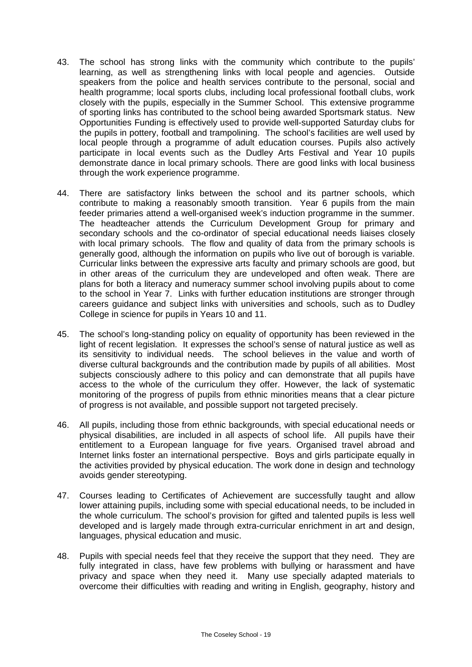- 43. The school has strong links with the community which contribute to the pupils' learning, as well as strengthening links with local people and agencies. Outside speakers from the police and health services contribute to the personal, social and health programme; local sports clubs, including local professional football clubs, work closely with the pupils, especially in the Summer School. This extensive programme of sporting links has contributed to the school being awarded Sportsmark status. New Opportunities Funding is effectively used to provide well-supported Saturday clubs for the pupils in pottery, football and trampolining. The school's facilities are well used by local people through a programme of adult education courses. Pupils also actively participate in local events such as the Dudley Arts Festival and Year 10 pupils demonstrate dance in local primary schools. There are good links with local business through the work experience programme.
- 44. There are satisfactory links between the school and its partner schools, which contribute to making a reasonably smooth transition. Year 6 pupils from the main feeder primaries attend a well-organised week's induction programme in the summer. The headteacher attends the Curriculum Development Group for primary and secondary schools and the co-ordinator of special educational needs liaises closely with local primary schools. The flow and quality of data from the primary schools is generally good, although the information on pupils who live out of borough is variable. Curricular links between the expressive arts faculty and primary schools are good, but in other areas of the curriculum they are undeveloped and often weak. There are plans for both a literacy and numeracy summer school involving pupils about to come to the school in Year 7. Links with further education institutions are stronger through careers guidance and subject links with universities and schools, such as to Dudley College in science for pupils in Years 10 and 11.
- 45. The school's long-standing policy on equality of opportunity has been reviewed in the light of recent legislation. It expresses the school's sense of natural justice as well as its sensitivity to individual needs. The school believes in the value and worth of diverse cultural backgrounds and the contribution made by pupils of all abilities. Most subjects consciously adhere to this policy and can demonstrate that all pupils have access to the whole of the curriculum they offer. However, the lack of systematic monitoring of the progress of pupils from ethnic minorities means that a clear picture of progress is not available, and possible support not targeted precisely.
- 46. All pupils, including those from ethnic backgrounds, with special educational needs or physical disabilities, are included in all aspects of school life. All pupils have their entitlement to a European language for five years. Organised travel abroad and Internet links foster an international perspective. Boys and girls participate equally in the activities provided by physical education. The work done in design and technology avoids gender stereotyping.
- 47. Courses leading to Certificates of Achievement are successfully taught and allow lower attaining pupils, including some with special educational needs, to be included in the whole curriculum. The school's provision for gifted and talented pupils is less well developed and is largely made through extra-curricular enrichment in art and design, languages, physical education and music.
- 48. Pupils with special needs feel that they receive the support that they need. They are fully integrated in class, have few problems with bullying or harassment and have privacy and space when they need it. Many use specially adapted materials to overcome their difficulties with reading and writing in English, geography, history and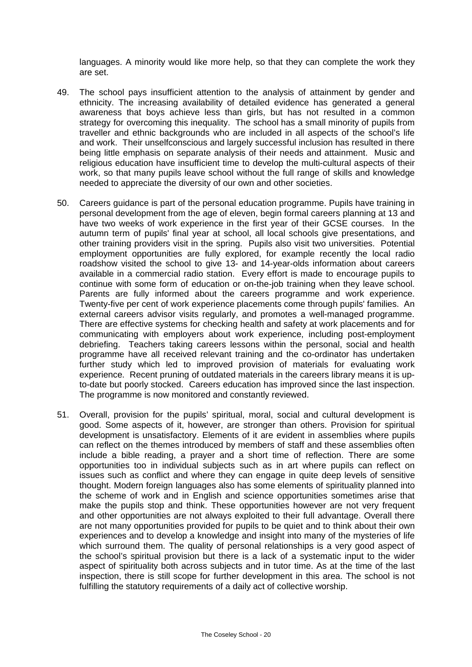languages. A minority would like more help, so that they can complete the work they are set.

- 49. The school pays insufficient attention to the analysis of attainment by gender and ethnicity. The increasing availability of detailed evidence has generated a general awareness that boys achieve less than girls, but has not resulted in a common strategy for overcoming this inequality. The school has a small minority of pupils from traveller and ethnic backgrounds who are included in all aspects of the school's life and work. Their unselfconscious and largely successful inclusion has resulted in there being little emphasis on separate analysis of their needs and attainment. Music and religious education have insufficient time to develop the multi-cultural aspects of their work, so that many pupils leave school without the full range of skills and knowledge needed to appreciate the diversity of our own and other societies.
- 50. Careers guidance is part of the personal education programme. Pupils have training in personal development from the age of eleven, begin formal careers planning at 13 and have two weeks of work experience in the first year of their GCSE courses. In the autumn term of pupils' final year at school, all local schools give presentations, and other training providers visit in the spring. Pupils also visit two universities. Potential employment opportunities are fully explored, for example recently the local radio roadshow visited the school to give 13- and 14-year-olds information about careers available in a commercial radio station. Every effort is made to encourage pupils to continue with some form of education or on-the-job training when they leave school. Parents are fully informed about the careers programme and work experience. Twenty-five per cent of work experience placements come through pupils' families. An external careers advisor visits regularly, and promotes a well-managed programme. There are effective systems for checking health and safety at work placements and for communicating with employers about work experience, including post-employment debriefing. Teachers taking careers lessons within the personal, social and health programme have all received relevant training and the co-ordinator has undertaken further study which led to improved provision of materials for evaluating work experience. Recent pruning of outdated materials in the careers library means it is upto-date but poorly stocked. Careers education has improved since the last inspection. The programme is now monitored and constantly reviewed.
- 51. Overall, provision for the pupils' spiritual, moral, social and cultural development is good. Some aspects of it, however, are stronger than others. Provision for spiritual development is unsatisfactory. Elements of it are evident in assemblies where pupils can reflect on the themes introduced by members of staff and these assemblies often include a bible reading, a prayer and a short time of reflection. There are some opportunities too in individual subjects such as in art where pupils can reflect on issues such as conflict and where they can engage in quite deep levels of sensitive thought. Modern foreign languages also has some elements of spirituality planned into the scheme of work and in English and science opportunities sometimes arise that make the pupils stop and think. These opportunities however are not very frequent and other opportunities are not always exploited to their full advantage. Overall there are not many opportunities provided for pupils to be quiet and to think about their own experiences and to develop a knowledge and insight into many of the mysteries of life which surround them. The quality of personal relationships is a very good aspect of the school's spiritual provision but there is a lack of a systematic input to the wider aspect of spirituality both across subjects and in tutor time. As at the time of the last inspection, there is still scope for further development in this area. The school is not fulfilling the statutory requirements of a daily act of collective worship.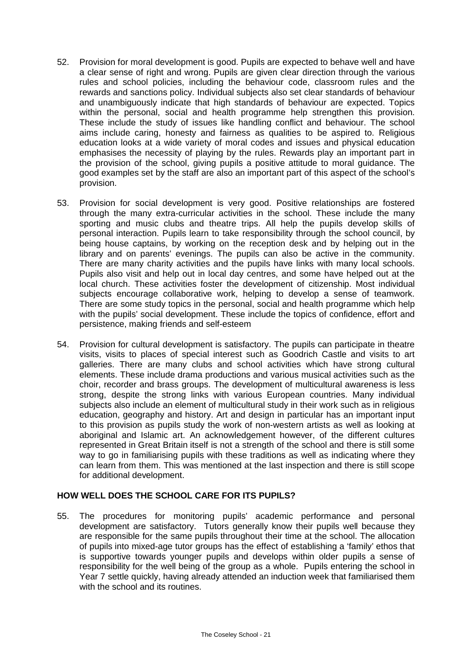- 52. Provision for moral development is good. Pupils are expected to behave well and have a clear sense of right and wrong. Pupils are given clear direction through the various rules and school policies, including the behaviour code, classroom rules and the rewards and sanctions policy. Individual subjects also set clear standards of behaviour and unambiguously indicate that high standards of behaviour are expected. Topics within the personal, social and health programme help strengthen this provision. These include the study of issues like handling conflict and behaviour. The school aims include caring, honesty and fairness as qualities to be aspired to. Religious education looks at a wide variety of moral codes and issues and physical education emphasises the necessity of playing by the rules. Rewards play an important part in the provision of the school, giving pupils a positive attitude to moral guidance. The good examples set by the staff are also an important part of this aspect of the school's provision.
- 53. Provision for social development is very good. Positive relationships are fostered through the many extra-curricular activities in the school. These include the many sporting and music clubs and theatre trips. All help the pupils develop skills of personal interaction. Pupils learn to take responsibility through the school council, by being house captains, by working on the reception desk and by helping out in the library and on parents' evenings. The pupils can also be active in the community. There are many charity activities and the pupils have links with many local schools. Pupils also visit and help out in local day centres, and some have helped out at the local church. These activities foster the development of citizenship. Most individual subjects encourage collaborative work, helping to develop a sense of teamwork. There are some study topics in the personal, social and health programme which help with the pupils' social development. These include the topics of confidence, effort and persistence, making friends and self-esteem
- 54. Provision for cultural development is satisfactory. The pupils can participate in theatre visits, visits to places of special interest such as Goodrich Castle and visits to art galleries. There are many clubs and school activities which have strong cultural elements. These include drama productions and various musical activities such as the choir, recorder and brass groups. The development of multicultural awareness is less strong, despite the strong links with various European countries. Many individual subjects also include an element of multicultural study in their work such as in religious education, geography and history. Art and design in particular has an important input to this provision as pupils study the work of non-western artists as well as looking at aboriginal and Islamic art. An acknowledgement however, of the different cultures represented in Great Britain itself is not a strength of the school and there is still some way to go in familiarising pupils with these traditions as well as indicating where they can learn from them. This was mentioned at the last inspection and there is still scope for additional development.

### **HOW WELL DOES THE SCHOOL CARE FOR ITS PUPILS?**

55. The procedures for monitoring pupils' academic performance and personal development are satisfactory. Tutors generally know their pupils well because they are responsible for the same pupils throughout their time at the school. The allocation of pupils into mixed-age tutor groups has the effect of establishing a 'family' ethos that is supportive towards younger pupils and develops within older pupils a sense of responsibility for the well being of the group as a whole. Pupils entering the school in Year 7 settle quickly, having already attended an induction week that familiarised them with the school and its routines.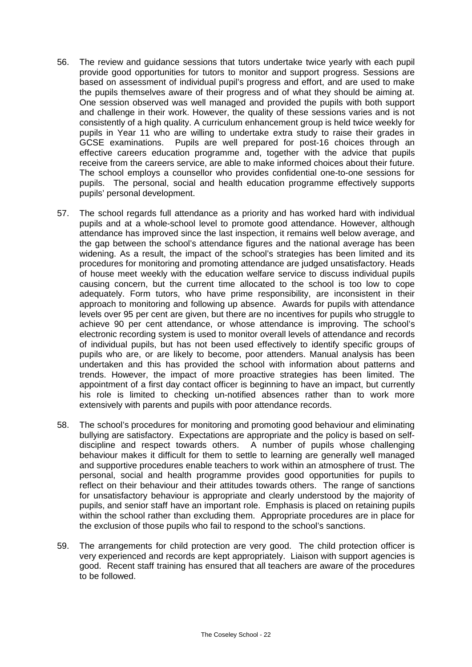- 56. The review and guidance sessions that tutors undertake twice yearly with each pupil provide good opportunities for tutors to monitor and support progress. Sessions are based on assessment of individual pupil's progress and effort, and are used to make the pupils themselves aware of their progress and of what they should be aiming at. One session observed was well managed and provided the pupils with both support and challenge in their work. However, the quality of these sessions varies and is not consistently of a high quality. A curriculum enhancement group is held twice weekly for pupils in Year 11 who are willing to undertake extra study to raise their grades in GCSE examinations. Pupils are well prepared for post-16 choices through an effective careers education programme and, together with the advice that pupils receive from the careers service, are able to make informed choices about their future. The school employs a counsellor who provides confidential one-to-one sessions for pupils. The personal, social and health education programme effectively supports pupils' personal development.
- 57. The school regards full attendance as a priority and has worked hard with individual pupils and at a whole-school level to promote good attendance. However, although attendance has improved since the last inspection, it remains well below average, and the gap between the school's attendance figures and the national average has been widening. As a result, the impact of the school's strategies has been limited and its procedures for monitoring and promoting attendance are judged unsatisfactory. Heads of house meet weekly with the education welfare service to discuss individual pupils causing concern, but the current time allocated to the school is too low to cope adequately. Form tutors, who have prime responsibility, are inconsistent in their approach to monitoring and following up absence. Awards for pupils with attendance levels over 95 per cent are given, but there are no incentives for pupils who struggle to achieve 90 per cent attendance, or whose attendance is improving. The school's electronic recording system is used to monitor overall levels of attendance and records of individual pupils, but has not been used effectively to identify specific groups of pupils who are, or are likely to become, poor attenders. Manual analysis has been undertaken and this has provided the school with information about patterns and trends. However, the impact of more proactive strategies has been limited. The appointment of a first day contact officer is beginning to have an impact, but currently his role is limited to checking un-notified absences rather than to work more extensively with parents and pupils with poor attendance records.
- 58. The school's procedures for monitoring and promoting good behaviour and eliminating bullying are satisfactory. Expectations are appropriate and the policy is based on selfdiscipline and respect towards others. A number of pupils whose challenging behaviour makes it difficult for them to settle to learning are generally well managed and supportive procedures enable teachers to work within an atmosphere of trust. The personal, social and health programme provides good opportunities for pupils to reflect on their behaviour and their attitudes towards others. The range of sanctions for unsatisfactory behaviour is appropriate and clearly understood by the majority of pupils, and senior staff have an important role. Emphasis is placed on retaining pupils within the school rather than excluding them. Appropriate procedures are in place for the exclusion of those pupils who fail to respond to the school's sanctions.
- 59. The arrangements for child protection are very good. The child protection officer is very experienced and records are kept appropriately. Liaison with support agencies is good. Recent staff training has ensured that all teachers are aware of the procedures to be followed.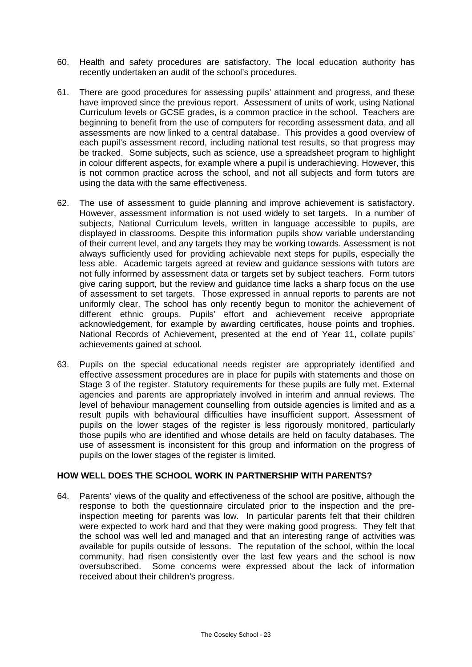- 60. Health and safety procedures are satisfactory. The local education authority has recently undertaken an audit of the school's procedures.
- 61. There are good procedures for assessing pupils' attainment and progress, and these have improved since the previous report. Assessment of units of work, using National Curriculum levels or GCSE grades, is a common practice in the school. Teachers are beginning to benefit from the use of computers for recording assessment data, and all assessments are now linked to a central database. This provides a good overview of each pupil's assessment record, including national test results, so that progress may be tracked. Some subjects, such as science, use a spreadsheet program to highlight in colour different aspects, for example where a pupil is underachieving. However, this is not common practice across the school, and not all subjects and form tutors are using the data with the same effectiveness.
- 62. The use of assessment to guide planning and improve achievement is satisfactory. However, assessment information is not used widely to set targets. In a number of subjects, National Curriculum levels, written in language accessible to pupils, are displayed in classrooms. Despite this information pupils show variable understanding of their current level, and any targets they may be working towards. Assessment is not always sufficiently used for providing achievable next steps for pupils, especially the less able. Academic targets agreed at review and guidance sessions with tutors are not fully informed by assessment data or targets set by subject teachers. Form tutors give caring support, but the review and guidance time lacks a sharp focus on the use of assessment to set targets. Those expressed in annual reports to parents are not uniformly clear. The school has only recently begun to monitor the achievement of different ethnic groups. Pupils' effort and achievement receive appropriate acknowledgement, for example by awarding certificates, house points and trophies. National Records of Achievement, presented at the end of Year 11, collate pupils' achievements gained at school.
- 63. Pupils on the special educational needs register are appropriately identified and effective assessment procedures are in place for pupils with statements and those on Stage 3 of the register. Statutory requirements for these pupils are fully met. External agencies and parents are appropriately involved in interim and annual reviews. The level of behaviour management counselling from outside agencies is limited and as a result pupils with behavioural difficulties have insufficient support. Assessment of pupils on the lower stages of the register is less rigorously monitored, particularly those pupils who are identified and whose details are held on faculty databases. The use of assessment is inconsistent for this group and information on the progress of pupils on the lower stages of the register is limited.

### **HOW WELL DOES THE SCHOOL WORK IN PARTNERSHIP WITH PARENTS?**

64. Parents' views of the quality and effectiveness of the school are positive, although the response to both the questionnaire circulated prior to the inspection and the preinspection meeting for parents was low. In particular parents felt that their children were expected to work hard and that they were making good progress. They felt that the school was well led and managed and that an interesting range of activities was available for pupils outside of lessons. The reputation of the school, within the local community, had risen consistently over the last few years and the school is now oversubscribed. Some concerns were expressed about the lack of information received about their children's progress.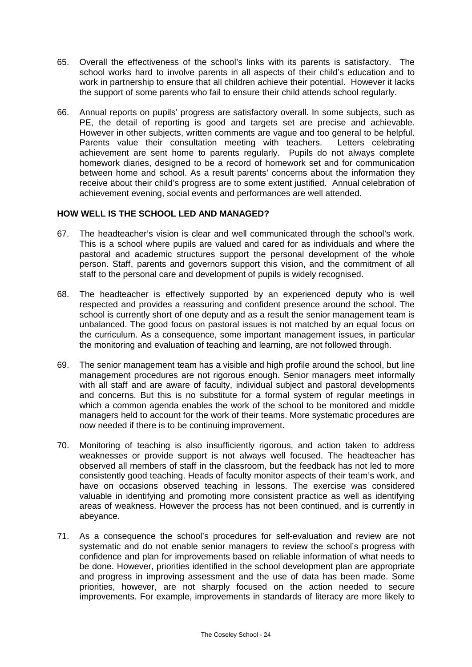- 65. Overall the effectiveness of the school's links with its parents is satisfactory. The school works hard to involve parents in all aspects of their child's education and to work in partnership to ensure that all children achieve their potential. However it lacks the support of some parents who fail to ensure their child attends school regularly.
- 66. Annual reports on pupils' progress are satisfactory overall. In some subjects, such as PE, the detail of reporting is good and targets set are precise and achievable. However in other subjects, written comments are vague and too general to be helpful. Parents value their consultation meeting with teachers. Letters celebrating achievement are sent home to parents regularly. Pupils do not always complete homework diaries, designed to be a record of homework set and for communication between home and school. As a result parents' concerns about the information they receive about their child's progress are to some extent justified. Annual celebration of achievement evening, social events and performances are well attended.

### **HOW WELL IS THE SCHOOL LED AND MANAGED?**

- 67. The headteacher's vision is clear and well communicated through the school's work. This is a school where pupils are valued and cared for as individuals and where the pastoral and academic structures support the personal development of the whole person. Staff, parents and governors support this vision, and the commitment of all staff to the personal care and development of pupils is widely recognised.
- 68. The headteacher is effectively supported by an experienced deputy who is well respected and provides a reassuring and confident presence around the school. The school is currently short of one deputy and as a result the senior management team is unbalanced. The good focus on pastoral issues is not matched by an equal focus on the curriculum. As a consequence, some important management issues, in particular the monitoring and evaluation of teaching and learning, are not followed through.
- 69. The senior management team has a visible and high profile around the school, but line management procedures are not rigorous enough. Senior managers meet informally with all staff and are aware of faculty, individual subject and pastoral developments and concerns. But this is no substitute for a formal system of regular meetings in which a common agenda enables the work of the school to be monitored and middle managers held to account for the work of their teams. More systematic procedures are now needed if there is to be continuing improvement.
- 70. Monitoring of teaching is also insufficiently rigorous, and action taken to address weaknesses or provide support is not always well focused. The headteacher has observed all members of staff in the classroom, but the feedback has not led to more consistently good teaching. Heads of faculty monitor aspects of their team's work, and have on occasions observed teaching in lessons. The exercise was considered valuable in identifying and promoting more consistent practice as well as identifying areas of weakness. However the process has not been continued, and is currently in abeyance.
- 71. As a consequence the school's procedures for self-evaluation and review are not systematic and do not enable senior managers to review the school's progress with confidence and plan for improvements based on reliable information of what needs to be done. However, priorities identified in the school development plan are appropriate and progress in improving assessment and the use of data has been made. Some priorities, however, are not sharply focused on the action needed to secure improvements. For example, improvements in standards of literacy are more likely to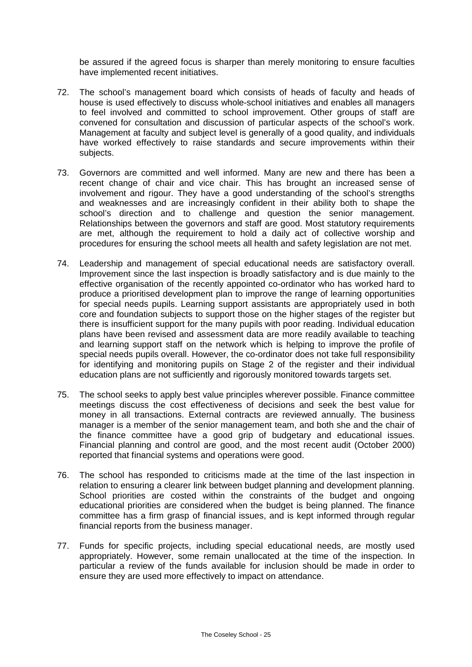be assured if the agreed focus is sharper than merely monitoring to ensure faculties have implemented recent initiatives.

- 72. The school's management board which consists of heads of faculty and heads of house is used effectively to discuss whole-school initiatives and enables all managers to feel involved and committed to school improvement. Other groups of staff are convened for consultation and discussion of particular aspects of the school's work. Management at faculty and subject level is generally of a good quality, and individuals have worked effectively to raise standards and secure improvements within their subjects.
- 73. Governors are committed and well informed. Many are new and there has been a recent change of chair and vice chair. This has brought an increased sense of involvement and rigour. They have a good understanding of the school's strengths and weaknesses and are increasingly confident in their ability both to shape the school's direction and to challenge and question the senior management. Relationships between the governors and staff are good. Most statutory requirements are met, although the requirement to hold a daily act of collective worship and procedures for ensuring the school meets all health and safety legislation are not met.
- 74. Leadership and management of special educational needs are satisfactory overall. Improvement since the last inspection is broadly satisfactory and is due mainly to the effective organisation of the recently appointed co-ordinator who has worked hard to produce a prioritised development plan to improve the range of learning opportunities for special needs pupils. Learning support assistants are appropriately used in both core and foundation subjects to support those on the higher stages of the register but there is insufficient support for the many pupils with poor reading. Individual education plans have been revised and assessment data are more readily available to teaching and learning support staff on the network which is helping to improve the profile of special needs pupils overall. However, the co-ordinator does not take full responsibility for identifying and monitoring pupils on Stage 2 of the register and their individual education plans are not sufficiently and rigorously monitored towards targets set.
- 75. The school seeks to apply best value principles wherever possible. Finance committee meetings discuss the cost effectiveness of decisions and seek the best value for money in all transactions. External contracts are reviewed annually. The business manager is a member of the senior management team, and both she and the chair of the finance committee have a good grip of budgetary and educational issues. Financial planning and control are good, and the most recent audit (October 2000) reported that financial systems and operations were good.
- 76. The school has responded to criticisms made at the time of the last inspection in relation to ensuring a clearer link between budget planning and development planning. School priorities are costed within the constraints of the budget and ongoing educational priorities are considered when the budget is being planned. The finance committee has a firm grasp of financial issues, and is kept informed through regular financial reports from the business manager.
- 77. Funds for specific projects, including special educational needs, are mostly used appropriately. However, some remain unallocated at the time of the inspection. In particular a review of the funds available for inclusion should be made in order to ensure they are used more effectively to impact on attendance.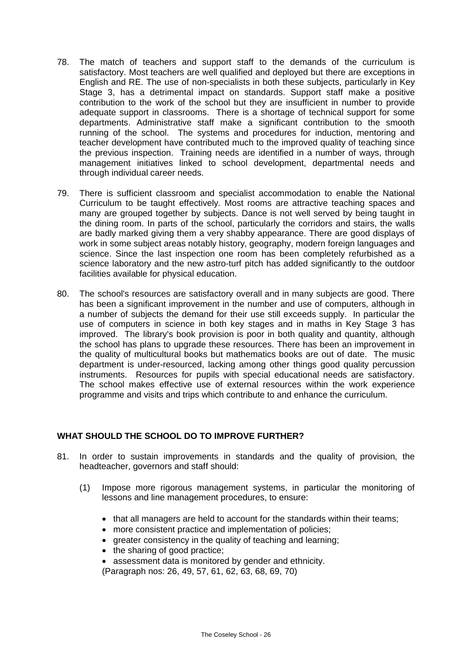- 78. The match of teachers and support staff to the demands of the curriculum is satisfactory. Most teachers are well qualified and deployed but there are exceptions in English and RE. The use of non-specialists in both these subjects, particularly in Key Stage 3, has a detrimental impact on standards. Support staff make a positive contribution to the work of the school but they are insufficient in number to provide adequate support in classrooms. There is a shortage of technical support for some departments. Administrative staff make a significant contribution to the smooth running of the school. The systems and procedures for induction, mentoring and teacher development have contributed much to the improved quality of teaching since the previous inspection. Training needs are identified in a number of ways, through management initiatives linked to school development, departmental needs and through individual career needs.
- 79. There is sufficient classroom and specialist accommodation to enable the National Curriculum to be taught effectively. Most rooms are attractive teaching spaces and many are grouped together by subjects. Dance is not well served by being taught in the dining room. In parts of the school, particularly the corridors and stairs, the walls are badly marked giving them a very shabby appearance. There are good displays of work in some subject areas notably history, geography, modern foreign languages and science. Since the last inspection one room has been completely refurbished as a science laboratory and the new astro-turf pitch has added significantly to the outdoor facilities available for physical education.
- 80. The school's resources are satisfactory overall and in many subjects are good. There has been a significant improvement in the number and use of computers, although in a number of subjects the demand for their use still exceeds supply. In particular the use of computers in science in both key stages and in maths in Key Stage 3 has improved. The library's book provision is poor in both quality and quantity, although the school has plans to upgrade these resources. There has been an improvement in the quality of multicultural books but mathematics books are out of date. The music department is under-resourced, lacking among other things good quality percussion instruments. Resources for pupils with special educational needs are satisfactory. The school makes effective use of external resources within the work experience programme and visits and trips which contribute to and enhance the curriculum.

### **WHAT SHOULD THE SCHOOL DO TO IMPROVE FURTHER?**

- 81. In order to sustain improvements in standards and the quality of provision, the headteacher, governors and staff should:
	- (1) Impose more rigorous management systems, in particular the monitoring of lessons and line management procedures, to ensure:
		- that all managers are held to account for the standards within their teams;
		- more consistent practice and implementation of policies;
		- greater consistency in the quality of teaching and learning;
		- the sharing of good practice;
		- assessment data is monitored by gender and ethnicity.

(Paragraph nos: 26, 49, 57, 61, 62, 63, 68, 69, 70)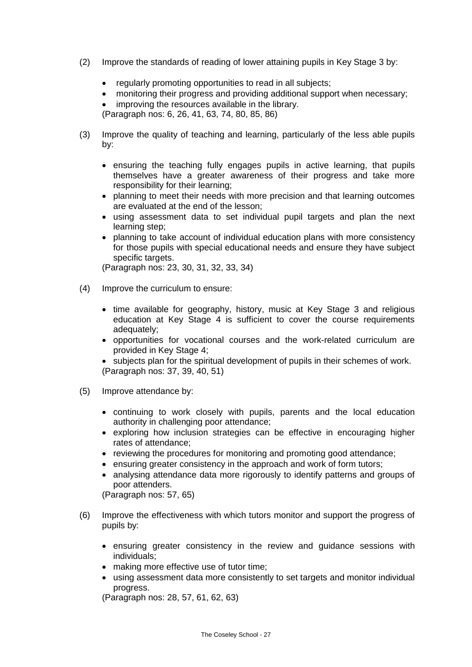- (2) Improve the standards of reading of lower attaining pupils in Key Stage 3 by:
	- regularly promoting opportunities to read in all subjects;
	- monitoring their progress and providing additional support when necessary;
	- improving the resources available in the library.

(Paragraph nos: 6, 26, 41, 63, 74, 80, 85, 86)

- (3) Improve the quality of teaching and learning, particularly of the less able pupils by:
	- ensuring the teaching fully engages pupils in active learning, that pupils themselves have a greater awareness of their progress and take more responsibility for their learning;
	- planning to meet their needs with more precision and that learning outcomes are evaluated at the end of the lesson;
	- using assessment data to set individual pupil targets and plan the next learning step;
	- planning to take account of individual education plans with more consistency for those pupils with special educational needs and ensure they have subject specific targets.

(Paragraph nos: 23, 30, 31, 32, 33, 34)

- (4) Improve the curriculum to ensure:
	- time available for geography, history, music at Key Stage 3 and religious education at Key Stage 4 is sufficient to cover the course requirements adequately;
	- opportunities for vocational courses and the work-related curriculum are provided in Key Stage 4;

• subjects plan for the spiritual development of pupils in their schemes of work. (Paragraph nos: 37, 39, 40, 51)

- (5) Improve attendance by:
	- continuing to work closely with pupils, parents and the local education authority in challenging poor attendance;
	- exploring how inclusion strategies can be effective in encouraging higher rates of attendance;
	- reviewing the procedures for monitoring and promoting good attendance;
	- ensuring greater consistency in the approach and work of form tutors;
	- analysing attendance data more rigorously to identify patterns and groups of poor attenders.

(Paragraph nos: 57, 65)

- (6) Improve the effectiveness with which tutors monitor and support the progress of pupils by:
	- ensuring greater consistency in the review and guidance sessions with individuals;
	- making more effective use of tutor time:
	- using assessment data more consistently to set targets and monitor individual progress.

(Paragraph nos: 28, 57, 61, 62, 63)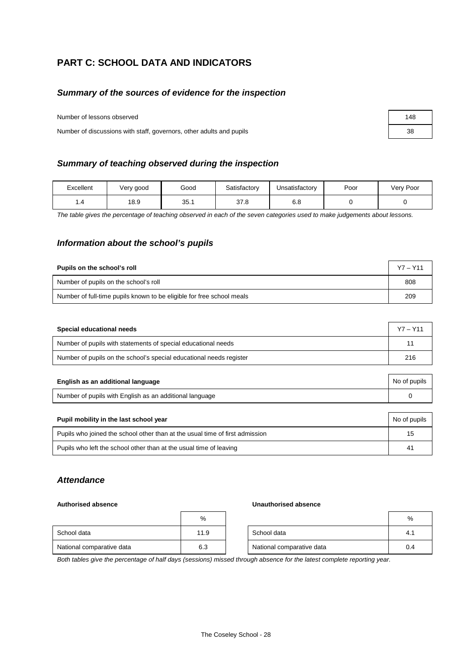## **PART C: SCHOOL DATA AND INDICATORS**

### *Summary of the sources of evidence for the inspection*

Number of lessons observed

Number of discussions with staff, governors, other adults and pupils

### *Summary of teaching observed during the inspection*

| Excellent | Very good | Good | Satisfactory | Unsatisfactorv | Poor | Very Poor |
|-----------|-----------|------|--------------|----------------|------|-----------|
| 4. ا      | 18.9      | 35.1 | 37.8         | 6.8            |      |           |

*The table gives the percentage of teaching observed in each of the seven categories used to make judgements about lessons.*

### *Information about the school's pupils*

| Pupils on the school's roll                                           | $Y7 - Y11$ |
|-----------------------------------------------------------------------|------------|
| Number of pupils on the school's roll                                 | 808        |
| Number of full-time pupils known to be eligible for free school meals | 209        |

| Special educational needs                                           | $Y7 - Y11$ |
|---------------------------------------------------------------------|------------|
| Number of pupils with statements of special educational needs       | 1'         |
| Number of pupils on the school's special educational needs register | 216        |

| English as an additional language                       | No of pupils |
|---------------------------------------------------------|--------------|
| Number of pupils with English as an additional language |              |

| Pupil mobility in the last school year                                       | No of pupils          |
|------------------------------------------------------------------------------|-----------------------|
| Pupils who joined the school other than at the usual time of first admission | 15                    |
| Pupils who left the school other than at the usual time of leaving           | $\mathbf{4}^{\prime}$ |

### *Attendance*

### **Authorised absence Unauthorised absence**

|                           | %    |                           | %   |
|---------------------------|------|---------------------------|-----|
| School data               | 11.9 | School data               | 4.1 |
| National comparative data | 6.3  | National comparative data | 0.4 |

*Both tables give the percentage of half days (sessions) missed through absence for the latest complete reporting year.*

| 148 |  |
|-----|--|
| 38  |  |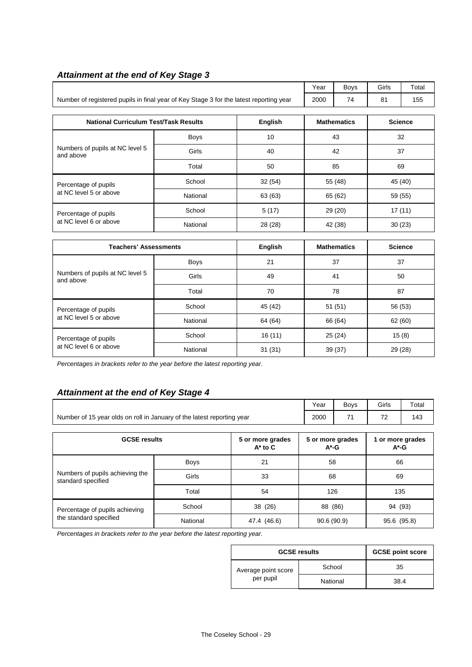|                                                                                        |             |         | Year    | <b>Boys</b>        | Girls          | Total          |  |
|----------------------------------------------------------------------------------------|-------------|---------|---------|--------------------|----------------|----------------|--|
| Number of registered pupils in final year of Key Stage 3 for the latest reporting year |             |         | 2000    | 74                 | 81             | 155            |  |
| <b>English</b><br><b>National Curriculum Test/Task Results</b>                         |             |         |         | <b>Mathematics</b> | <b>Science</b> |                |  |
|                                                                                        | <b>Boys</b> | 10      | 43      |                    |                | 32             |  |
| Numbers of pupils at NC level 5<br>and above                                           | Girls       | 40      |         | 42                 |                | 37             |  |
|                                                                                        | Total       | 50      |         | 85                 |                | 69             |  |
| Percentage of pupils                                                                   | School      | 32(54)  |         | 55 (48)            |                | 45 (40)        |  |
| at NC level 5 or above                                                                 | National    | 63 (63) |         | 65 (62)            |                | 59 (55)        |  |
| Percentage of pupils                                                                   | School      | 5(17)   | 29 (20) |                    | 17(11)         |                |  |
| at NC level 6 or above                                                                 | National    | 28 (28) |         | 30(23)<br>42 (38)  |                |                |  |
| <b>Teachers' Assessments</b>                                                           |             | English |         | <b>Mathematics</b> |                | <b>Science</b> |  |
|                                                                                        | <b>Boys</b> | 21      |         | 37                 |                | 37             |  |
| Numbers of pupils at NC level 5<br>and above                                           | Girls       | 49      |         | 41<br>50           |                |                |  |
|                                                                                        | Total       | 70      |         | 78                 | 87             |                |  |
| Percentage of pupils                                                                   | School      | 45 (42) | 51(51)  |                    |                | 56 (53)        |  |
| at NC level 5 or above                                                                 | National    | 64 (64) |         | 66 (64)            | 62 (60)        |                |  |
| Percentage of pupils                                                                   | School      | 16(11)  |         | 25(24)             |                | 15(8)          |  |
| at NC level 6 or above                                                                 | National    | 31(31)  |         | 39(37)             | 29 (28)        |                |  |

### *Attainment at the end of Key Stage 3*

*Percentages in brackets refer to the year before the latest reporting year.*

## *Attainment at the end of Key Stage 4*

|                                                                        | Year | <b>Bovs</b> | Girls                    | $\tau$ otal |
|------------------------------------------------------------------------|------|-------------|--------------------------|-------------|
| Number of 15 year olds on roll in January of the latest reporting year | 2000 | .,          | $\overline{\phantom{a}}$ | 143         |

| <b>GCSE results</b>                                   |             | 5 or more grades<br>$A^*$ to $C$ | 5 or more grades<br>$A^*$ -G | 1 or more grades<br>$A^*$ -G |
|-------------------------------------------------------|-------------|----------------------------------|------------------------------|------------------------------|
|                                                       | <b>Boys</b> | 21                               | 58                           | 66                           |
| Numbers of pupils achieving the<br>standard specified | Girls       | 33                               | 68                           | 69                           |
|                                                       | Total       | 54                               | 126                          | 135                          |
| Percentage of pupils achieving                        | School      | 38 (26)                          | 88 (86)                      | 94 (93)                      |
| the standard specified                                | National    | 47.4 (46.6)                      | 90.6(90.9)                   | 95.6 (95.8)                  |

*Percentages in brackets refer to the year before the latest reporting year.*

| <b>GCSE results</b> | <b>GCSE point score</b> |      |
|---------------------|-------------------------|------|
| Average point score | School                  | 35   |
| per pupil           | National                | 38.4 |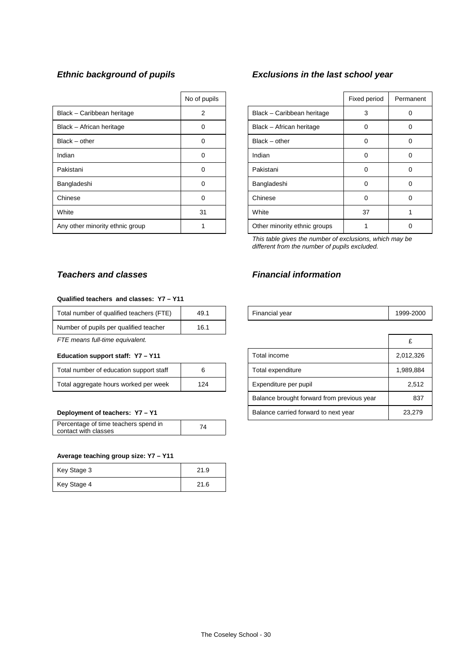|                                 | No of pupils |                              | Fixed period | Perma |
|---------------------------------|--------------|------------------------------|--------------|-------|
| Black - Caribbean heritage      | 2            | Black - Caribbean heritage   | 3            | C     |
| Black - African heritage        | 0            | Black - African heritage     | 0            | C     |
| $Black - other$                 | 0            | $Black - other$              | 0            | C     |
| Indian                          | 0            | Indian                       | 0            | C     |
| Pakistani                       | 0            | Pakistani                    | 0            | C     |
| Bangladeshi                     | 0            | Bangladeshi                  | $\Omega$     | C     |
| Chinese                         | 0            | Chinese                      | 0            | C     |
| White                           | 31           | White                        | 37           |       |
| Any other minority ethnic group |              | Other minority ethnic groups |              |       |

## *Ethnic background of pupils Exclusions in the last school year*

| No of pupils |                              | Fixed period | Permanent |
|--------------|------------------------------|--------------|-----------|
| 2            | Black - Caribbean heritage   | 3            |           |
| 0            | Black - African heritage     | ∩            |           |
| ∩            | $Black - other$              | $\Omega$     | O         |
| ∩            | Indian                       | O            | Ω         |
| 0            | Pakistani                    | $\Omega$     | 0         |
| 0            | Bangladeshi                  | ∩            | 0         |
| ∩            | Chinese                      | $\Omega$     | O         |
| 31           | White                        | 37           |           |
|              | Other minority ethnic groups |              |           |

*This table gives the number of exclusions, which may be different from the number of pupils excluded.*

## **Teachers and classes Teachers and classes** Financial information

# **Qualified teachers and classes: Y7 – Y11**

| Total number of qualified teachers (FTE) | 49.1 |
|------------------------------------------|------|
| Number of pupils per qualified teacher   | 16.1 |

### Education support staff: Y7 - Y11

| Total number of education support staff |     |
|-----------------------------------------|-----|
| Total aggregate hours worked per week   | 124 |

### Deployment of teachers: Y7 - Y1

| Percentage of time teachers spend in | 74 |
|--------------------------------------|----|
| contact with classes                 |    |

### **Average teaching group size: Y7 – Y11**

| Key Stage 3 | 21.9 |
|-------------|------|
| Key Stage 4 | 21.6 |

| <br>Totai<br>number<br>qualified<br>0t<br>l teachers<br>- | 49. i |  | l vear<br>$\sim$<br>∵ınancıa.<br>- - - | 9-2000<br>aaa |
|-----------------------------------------------------------|-------|--|----------------------------------------|---------------|
|-----------------------------------------------------------|-------|--|----------------------------------------|---------------|

| FTE means full-time equivalent.         |     |                                            |           |
|-----------------------------------------|-----|--------------------------------------------|-----------|
| Education support staff: Y7 - Y11       |     | Total income                               | 2,012,326 |
| Total number of education support staff | 6   | Total expenditure                          | 1,989,884 |
| Total aggregate hours worked per week   | 124 | Expenditure per pupil                      | 2,512     |
|                                         |     | Balance brought forward from previous year | 837       |
| Deployment of teachers: Y7 - Y1         |     | Balance carried forward to next year       | 23.279    |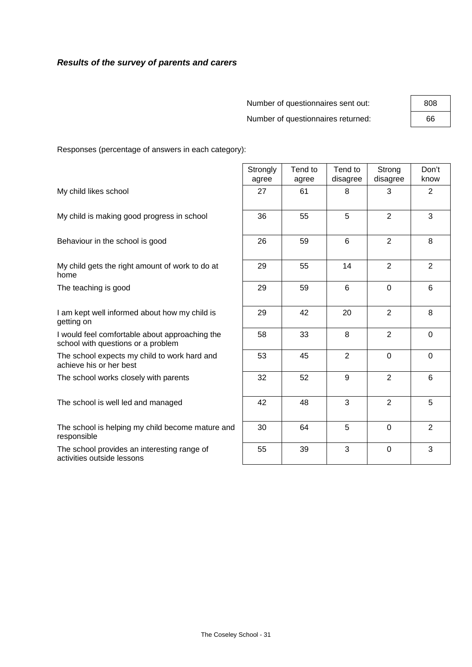## *Results of the survey of parents and carers*

| Number of questionnaires sent out: | 808 |
|------------------------------------|-----|
| Number of questionnaires returned: | 66  |

 $\mathbf{r}$ 

Responses (percentage of answers in each category):

|                                                                                      | Strongly<br>agree | Tend to<br>agree | Tend to<br>disagree | Strong<br>disagree | Don't<br>know  |
|--------------------------------------------------------------------------------------|-------------------|------------------|---------------------|--------------------|----------------|
| My child likes school                                                                | 27                | 61               | 8                   | 3                  | 2              |
| My child is making good progress in school                                           | 36                | 55               | 5                   | $\overline{2}$     | 3              |
| Behaviour in the school is good                                                      | 26                | 59               | 6                   | $\overline{2}$     | 8              |
| My child gets the right amount of work to do at<br>home                              | 29                | 55               | 14                  | $\overline{2}$     | 2              |
| The teaching is good                                                                 | 29                | 59               | $6\phantom{1}$      | $\mathbf 0$        | 6              |
| I am kept well informed about how my child is<br>getting on                          | 29                | 42               | 20                  | 2                  | 8              |
| I would feel comfortable about approaching the<br>school with questions or a problem | 58                | 33               | 8                   | 2                  | $\mathbf 0$    |
| The school expects my child to work hard and<br>achieve his or her best              | 53                | 45               | $\overline{2}$      | $\overline{0}$     | $\Omega$       |
| The school works closely with parents                                                | 32                | 52               | 9                   | $\overline{2}$     | 6              |
| The school is well led and managed                                                   | 42                | 48               | 3                   | $\overline{2}$     | 5              |
| The school is helping my child become mature and<br>responsible                      | 30                | 64               | 5                   | $\overline{0}$     | $\overline{2}$ |
| The school provides an interesting range of<br>activities outside lessons            | 55                | 39               | 3                   | $\mathbf 0$        | 3              |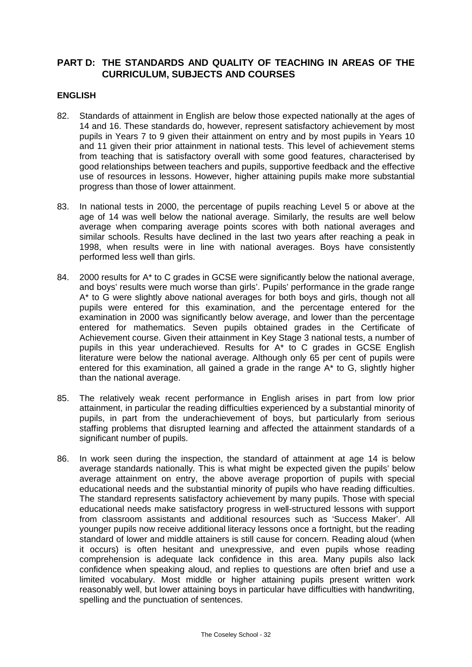## **PART D: THE STANDARDS AND QUALITY OF TEACHING IN AREAS OF THE CURRICULUM, SUBJECTS AND COURSES**

### **ENGLISH**

- 82. Standards of attainment in English are below those expected nationally at the ages of 14 and 16. These standards do, however, represent satisfactory achievement by most pupils in Years 7 to 9 given their attainment on entry and by most pupils in Years 10 and 11 given their prior attainment in national tests. This level of achievement stems from teaching that is satisfactory overall with some good features, characterised by good relationships between teachers and pupils, supportive feedback and the effective use of resources in lessons. However, higher attaining pupils make more substantial progress than those of lower attainment.
- 83. In national tests in 2000, the percentage of pupils reaching Level 5 or above at the age of 14 was well below the national average. Similarly, the results are well below average when comparing average points scores with both national averages and similar schools. Results have declined in the last two years after reaching a peak in 1998, when results were in line with national averages. Boys have consistently performed less well than girls.
- 84. 2000 results for A\* to C grades in GCSE were significantly below the national average, and boys' results were much worse than girls'. Pupils' performance in the grade range A\* to G were slightly above national averages for both boys and girls, though not all pupils were entered for this examination, and the percentage entered for the examination in 2000 was significantly below average, and lower than the percentage entered for mathematics. Seven pupils obtained grades in the Certificate of Achievement course. Given their attainment in Key Stage 3 national tests, a number of pupils in this year underachieved. Results for A\* to C grades in GCSE English literature were below the national average. Although only 65 per cent of pupils were entered for this examination, all gained a grade in the range A\* to G, slightly higher than the national average.
- 85. The relatively weak recent performance in English arises in part from low prior attainment, in particular the reading difficulties experienced by a substantial minority of pupils, in part from the underachievement of boys, but particularly from serious staffing problems that disrupted learning and affected the attainment standards of a significant number of pupils.
- 86. In work seen during the inspection, the standard of attainment at age 14 is below average standards nationally. This is what might be expected given the pupils' below average attainment on entry, the above average proportion of pupils with special educational needs and the substantial minority of pupils who have reading difficulties. The standard represents satisfactory achievement by many pupils. Those with special educational needs make satisfactory progress in well-structured lessons with support from classroom assistants and additional resources such as 'Success Maker'. All younger pupils now receive additional literacy lessons once a fortnight, but the reading standard of lower and middle attainers is still cause for concern. Reading aloud (when it occurs) is often hesitant and unexpressive, and even pupils whose reading comprehension is adequate lack confidence in this area. Many pupils also lack confidence when speaking aloud, and replies to questions are often brief and use a limited vocabulary. Most middle or higher attaining pupils present written work reasonably well, but lower attaining boys in particular have difficulties with handwriting, spelling and the punctuation of sentences.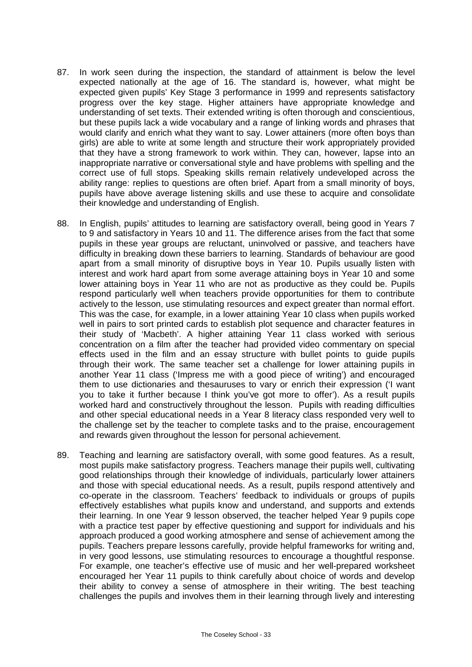- 87. In work seen during the inspection, the standard of attainment is below the level expected nationally at the age of 16. The standard is, however, what might be expected given pupils' Key Stage 3 performance in 1999 and represents satisfactory progress over the key stage. Higher attainers have appropriate knowledge and understanding of set texts. Their extended writing is often thorough and conscientious, but these pupils lack a wide vocabulary and a range of linking words and phrases that would clarify and enrich what they want to say. Lower attainers (more often boys than girls) are able to write at some length and structure their work appropriately provided that they have a strong framework to work within. They can, however, lapse into an inappropriate narrative or conversational style and have problems with spelling and the correct use of full stops. Speaking skills remain relatively undeveloped across the ability range: replies to questions are often brief. Apart from a small minority of boys, pupils have above average listening skills and use these to acquire and consolidate their knowledge and understanding of English.
- 88. In English, pupils' attitudes to learning are satisfactory overall, being good in Years 7 to 9 and satisfactory in Years 10 and 11. The difference arises from the fact that some pupils in these year groups are reluctant, uninvolved or passive, and teachers have difficulty in breaking down these barriers to learning. Standards of behaviour are good apart from a small minority of disruptive boys in Year 10. Pupils usually listen with interest and work hard apart from some average attaining boys in Year 10 and some lower attaining boys in Year 11 who are not as productive as they could be. Pupils respond particularly well when teachers provide opportunities for them to contribute actively to the lesson, use stimulating resources and expect greater than normal effort. This was the case, for example, in a lower attaining Year 10 class when pupils worked well in pairs to sort printed cards to establish plot sequence and character features in their study of 'Macbeth'. A higher attaining Year 11 class worked with serious concentration on a film after the teacher had provided video commentary on special effects used in the film and an essay structure with bullet points to guide pupils through their work. The same teacher set a challenge for lower attaining pupils in another Year 11 class ('Impress me with a good piece of writing') and encouraged them to use dictionaries and thesauruses to vary or enrich their expression ('I want you to take it further because I think you've got more to offer'). As a result pupils worked hard and constructively throughout the lesson. Pupils with reading difficulties and other special educational needs in a Year 8 literacy class responded very well to the challenge set by the teacher to complete tasks and to the praise, encouragement and rewards given throughout the lesson for personal achievement.
- 89. Teaching and learning are satisfactory overall, with some good features. As a result, most pupils make satisfactory progress. Teachers manage their pupils well, cultivating good relationships through their knowledge of individuals, particularly lower attainers and those with special educational needs. As a result, pupils respond attentively and co-operate in the classroom. Teachers' feedback to individuals or groups of pupils effectively establishes what pupils know and understand, and supports and extends their learning. In one Year 9 lesson observed, the teacher helped Year 9 pupils cope with a practice test paper by effective questioning and support for individuals and his approach produced a good working atmosphere and sense of achievement among the pupils. Teachers prepare lessons carefully, provide helpful frameworks for writing and, in very good lessons, use stimulating resources to encourage a thoughtful response. For example, one teacher's effective use of music and her well-prepared worksheet encouraged her Year 11 pupils to think carefully about choice of words and develop their ability to convey a sense of atmosphere in their writing. The best teaching challenges the pupils and involves them in their learning through lively and interesting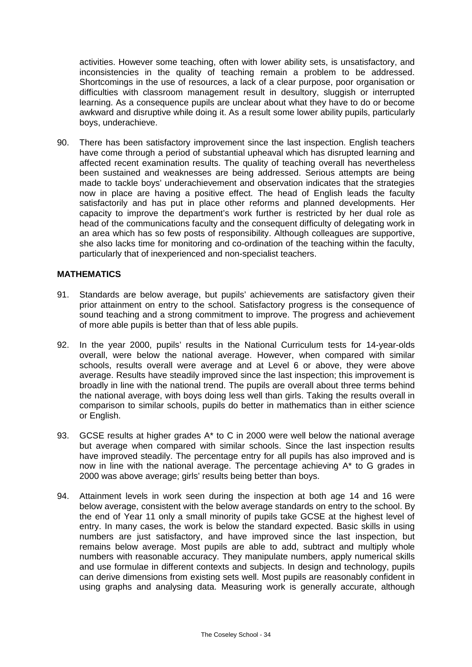activities. However some teaching, often with lower ability sets, is unsatisfactory, and inconsistencies in the quality of teaching remain a problem to be addressed. Shortcomings in the use of resources, a lack of a clear purpose, poor organisation or difficulties with classroom management result in desultory, sluggish or interrupted learning. As a consequence pupils are unclear about what they have to do or become awkward and disruptive while doing it. As a result some lower ability pupils, particularly boys, underachieve.

90. There has been satisfactory improvement since the last inspection. English teachers have come through a period of substantial upheaval which has disrupted learning and affected recent examination results. The quality of teaching overall has nevertheless been sustained and weaknesses are being addressed. Serious attempts are being made to tackle boys' underachievement and observation indicates that the strategies now in place are having a positive effect. The head of English leads the faculty satisfactorily and has put in place other reforms and planned developments. Her capacity to improve the department's work further is restricted by her dual role as head of the communications faculty and the consequent difficulty of delegating work in an area which has so few posts of responsibility. Although colleagues are supportive, she also lacks time for monitoring and co-ordination of the teaching within the faculty, particularly that of inexperienced and non-specialist teachers.

## **MATHEMATICS**

- 91. Standards are below average, but pupils' achievements are satisfactory given their prior attainment on entry to the school. Satisfactory progress is the consequence of sound teaching and a strong commitment to improve. The progress and achievement of more able pupils is better than that of less able pupils.
- 92. In the year 2000, pupils' results in the National Curriculum tests for 14-year-olds overall, were below the national average. However, when compared with similar schools, results overall were average and at Level 6 or above, they were above average. Results have steadily improved since the last inspection; this improvement is broadly in line with the national trend. The pupils are overall about three terms behind the national average, with boys doing less well than girls. Taking the results overall in comparison to similar schools, pupils do better in mathematics than in either science or English.
- 93. GCSE results at higher grades A\* to C in 2000 were well below the national average but average when compared with similar schools. Since the last inspection results have improved steadily. The percentage entry for all pupils has also improved and is now in line with the national average. The percentage achieving A\* to G grades in 2000 was above average; girls' results being better than boys.
- 94. Attainment levels in work seen during the inspection at both age 14 and 16 were below average, consistent with the below average standards on entry to the school. By the end of Year 11 only a small minority of pupils take GCSE at the highest level of entry. In many cases, the work is below the standard expected. Basic skills in using numbers are just satisfactory, and have improved since the last inspection, but remains below average. Most pupils are able to add, subtract and multiply whole numbers with reasonable accuracy. They manipulate numbers, apply numerical skills and use formulae in different contexts and subjects. In design and technology, pupils can derive dimensions from existing sets well. Most pupils are reasonably confident in using graphs and analysing data. Measuring work is generally accurate, although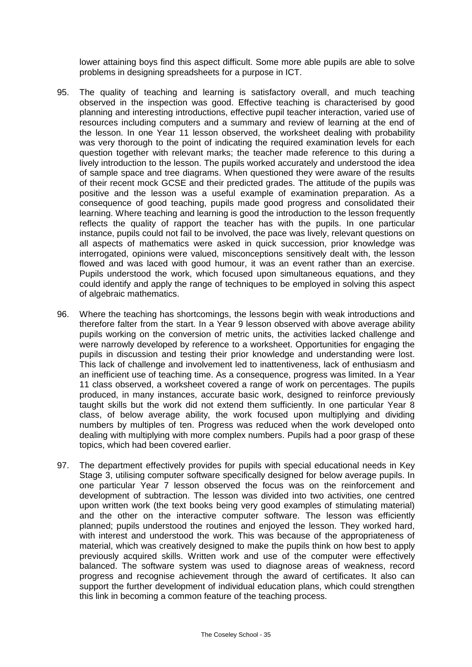lower attaining boys find this aspect difficult. Some more able pupils are able to solve problems in designing spreadsheets for a purpose in ICT.

- 95. The quality of teaching and learning is satisfactory overall, and much teaching observed in the inspection was good. Effective teaching is characterised by good planning and interesting introductions, effective pupil teacher interaction, varied use of resources including computers and a summary and review of learning at the end of the lesson. In one Year 11 lesson observed, the worksheet dealing with probability was very thorough to the point of indicating the required examination levels for each question together with relevant marks; the teacher made reference to this during a lively introduction to the lesson. The pupils worked accurately and understood the idea of sample space and tree diagrams. When questioned they were aware of the results of their recent mock GCSE and their predicted grades. The attitude of the pupils was positive and the lesson was a useful example of examination preparation. As a consequence of good teaching, pupils made good progress and consolidated their learning. Where teaching and learning is good the introduction to the lesson frequently reflects the quality of rapport the teacher has with the pupils. In one particular instance, pupils could not fail to be involved, the pace was lively, relevant questions on all aspects of mathematics were asked in quick succession, prior knowledge was interrogated, opinions were valued, misconceptions sensitively dealt with, the lesson flowed and was laced with good humour, it was an event rather than an exercise. Pupils understood the work, which focused upon simultaneous equations, and they could identify and apply the range of techniques to be employed in solving this aspect of algebraic mathematics.
- 96. Where the teaching has shortcomings, the lessons begin with weak introductions and therefore falter from the start. In a Year 9 lesson observed with above average ability pupils working on the conversion of metric units, the activities lacked challenge and were narrowly developed by reference to a worksheet. Opportunities for engaging the pupils in discussion and testing their prior knowledge and understanding were lost. This lack of challenge and involvement led to inattentiveness, lack of enthusiasm and an inefficient use of teaching time. As a consequence, progress was limited. In a Year 11 class observed, a worksheet covered a range of work on percentages. The pupils produced, in many instances, accurate basic work, designed to reinforce previously taught skills but the work did not extend them sufficiently. In one particular Year 8 class, of below average ability, the work focused upon multiplying and dividing numbers by multiples of ten. Progress was reduced when the work developed onto dealing with multiplying with more complex numbers. Pupils had a poor grasp of these topics, which had been covered earlier.
- 97. The department effectively provides for pupils with special educational needs in Key Stage 3, utilising computer software specifically designed for below average pupils. In one particular Year 7 lesson observed the focus was on the reinforcement and development of subtraction. The lesson was divided into two activities, one centred upon written work (the text books being very good examples of stimulating material) and the other on the interactive computer software. The lesson was efficiently planned; pupils understood the routines and enjoyed the lesson. They worked hard, with interest and understood the work. This was because of the appropriateness of material, which was creatively designed to make the pupils think on how best to apply previously acquired skills. Written work and use of the computer were effectively balanced. The software system was used to diagnose areas of weakness, record progress and recognise achievement through the award of certificates. It also can support the further development of individual education plans, which could strengthen this link in becoming a common feature of the teaching process.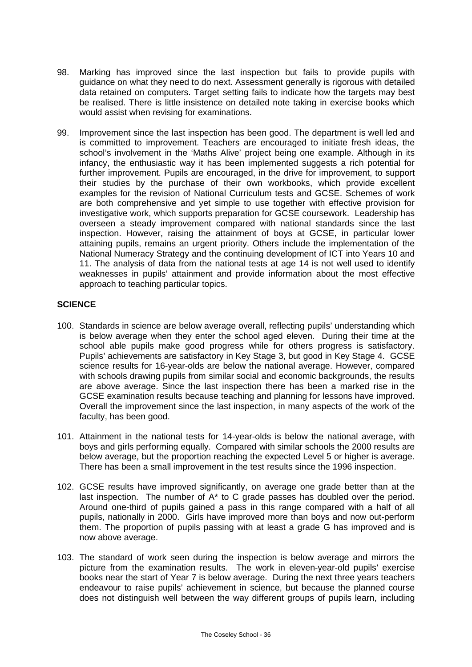- 98. Marking has improved since the last inspection but fails to provide pupils with guidance on what they need to do next. Assessment generally is rigorous with detailed data retained on computers. Target setting fails to indicate how the targets may best be realised. There is little insistence on detailed note taking in exercise books which would assist when revising for examinations.
- 99. Improvement since the last inspection has been good. The department is well led and is committed to improvement. Teachers are encouraged to initiate fresh ideas, the school's involvement in the 'Maths Alive' project being one example. Although in its infancy, the enthusiastic way it has been implemented suggests a rich potential for further improvement. Pupils are encouraged, in the drive for improvement, to support their studies by the purchase of their own workbooks, which provide excellent examples for the revision of National Curriculum tests and GCSE. Schemes of work are both comprehensive and yet simple to use together with effective provision for investigative work, which supports preparation for GCSE coursework. Leadership has overseen a steady improvement compared with national standards since the last inspection. However, raising the attainment of boys at GCSE, in particular lower attaining pupils, remains an urgent priority. Others include the implementation of the National Numeracy Strategy and the continuing development of ICT into Years 10 and 11. The analysis of data from the national tests at age 14 is not well used to identify weaknesses in pupils' attainment and provide information about the most effective approach to teaching particular topics.

## **SCIENCE**

- 100. Standards in science are below average overall, reflecting pupils' understanding which is below average when they enter the school aged eleven. During their time at the school able pupils make good progress while for others progress is satisfactory. Pupils' achievements are satisfactory in Key Stage 3, but good in Key Stage 4. GCSE science results for 16-year-olds are below the national average. However, compared with schools drawing pupils from similar social and economic backgrounds, the results are above average. Since the last inspection there has been a marked rise in the GCSE examination results because teaching and planning for lessons have improved. Overall the improvement since the last inspection, in many aspects of the work of the faculty, has been good.
- 101. Attainment in the national tests for 14-year-olds is below the national average, with boys and girls performing equally. Compared with similar schools the 2000 results are below average, but the proportion reaching the expected Level 5 or higher is average. There has been a small improvement in the test results since the 1996 inspection.
- 102. GCSE results have improved significantly, on average one grade better than at the last inspection. The number of A\* to C grade passes has doubled over the period. Around one-third of pupils gained a pass in this range compared with a half of all pupils, nationally in 2000. Girls have improved more than boys and now out-perform them. The proportion of pupils passing with at least a grade G has improved and is now above average.
- 103. The standard of work seen during the inspection is below average and mirrors the picture from the examination results. The work in eleven-year-old pupils' exercise books near the start of Year 7 is below average. During the next three years teachers endeavour to raise pupils' achievement in science, but because the planned course does not distinguish well between the way different groups of pupils learn, including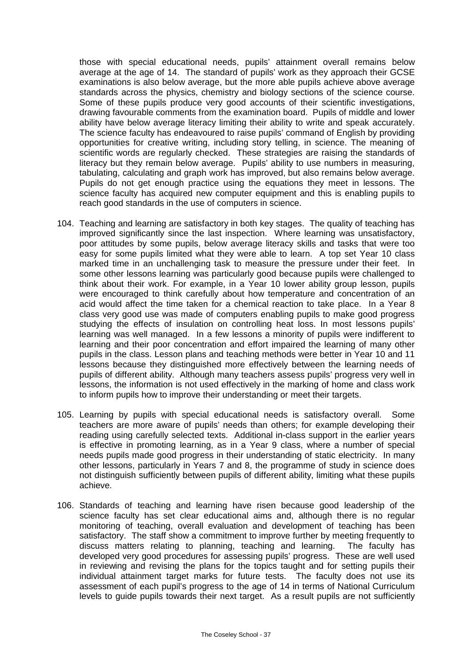those with special educational needs, pupils' attainment overall remains below average at the age of 14. The standard of pupils' work as they approach their GCSE examinations is also below average, but the more able pupils achieve above average standards across the physics, chemistry and biology sections of the science course. Some of these pupils produce very good accounts of their scientific investigations, drawing favourable comments from the examination board. Pupils of middle and lower ability have below average literacy limiting their ability to write and speak accurately. The science faculty has endeavoured to raise pupils' command of English by providing opportunities for creative writing, including story telling, in science. The meaning of scientific words are regularly checked. These strategies are raising the standards of literacy but they remain below average. Pupils' ability to use numbers in measuring, tabulating, calculating and graph work has improved, but also remains below average. Pupils do not get enough practice using the equations they meet in lessons. The science faculty has acquired new computer equipment and this is enabling pupils to reach good standards in the use of computers in science.

- 104. Teaching and learning are satisfactory in both key stages. The quality of teaching has improved significantly since the last inspection. Where learning was unsatisfactory, poor attitudes by some pupils, below average literacy skills and tasks that were too easy for some pupils limited what they were able to learn. A top set Year 10 class marked time in an unchallenging task to measure the pressure under their feet. In some other lessons learning was particularly good because pupils were challenged to think about their work. For example, in a Year 10 lower ability group lesson, pupils were encouraged to think carefully about how temperature and concentration of an acid would affect the time taken for a chemical reaction to take place. In a Year 8 class very good use was made of computers enabling pupils to make good progress studying the effects of insulation on controlling heat loss. In most lessons pupils' learning was well managed. In a few lessons a minority of pupils were indifferent to learning and their poor concentration and effort impaired the learning of many other pupils in the class. Lesson plans and teaching methods were better in Year 10 and 11 lessons because they distinguished more effectively between the learning needs of pupils of different ability. Although many teachers assess pupils' progress very well in lessons, the information is not used effectively in the marking of home and class work to inform pupils how to improve their understanding or meet their targets.
- 105. Learning by pupils with special educational needs is satisfactory overall. Some teachers are more aware of pupils' needs than others; for example developing their reading using carefully selected texts. Additional in-class support in the earlier years is effective in promoting learning, as in a Year 9 class, where a number of special needs pupils made good progress in their understanding of static electricity. In many other lessons, particularly in Years 7 and 8, the programme of study in science does not distinguish sufficiently between pupils of different ability, limiting what these pupils achieve.
- 106. Standards of teaching and learning have risen because good leadership of the science faculty has set clear educational aims and, although there is no regular monitoring of teaching, overall evaluation and development of teaching has been satisfactory. The staff show a commitment to improve further by meeting frequently to discuss matters relating to planning, teaching and learning. The faculty has discuss matters relating to planning, teaching and learning. developed very good procedures for assessing pupils' progress. These are well used in reviewing and revising the plans for the topics taught and for setting pupils their individual attainment target marks for future tests. The faculty does not use its assessment of each pupil's progress to the age of 14 in terms of National Curriculum levels to guide pupils towards their next target. As a result pupils are not sufficiently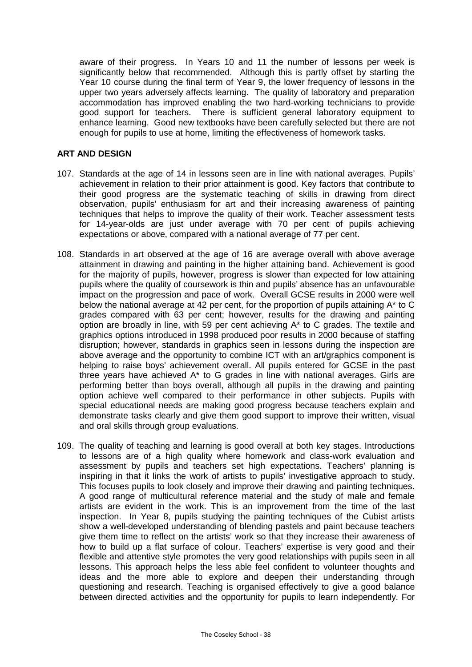aware of their progress. In Years 10 and 11 the number of lessons per week is significantly below that recommended. Although this is partly offset by starting the Year 10 course during the final term of Year 9, the lower frequency of lessons in the upper two years adversely affects learning. The quality of laboratory and preparation accommodation has improved enabling the two hard-working technicians to provide good support for teachers. There is sufficient general laboratory equipment to enhance learning. Good new textbooks have been carefully selected but there are not enough for pupils to use at home, limiting the effectiveness of homework tasks.

### **ART AND DESIGN**

- 107. Standards at the age of 14 in lessons seen are in line with national averages. Pupils' achievement in relation to their prior attainment is good. Key factors that contribute to their good progress are the systematic teaching of skills in drawing from direct observation, pupils' enthusiasm for art and their increasing awareness of painting techniques that helps to improve the quality of their work. Teacher assessment tests for 14-year-olds are just under average with 70 per cent of pupils achieving expectations or above, compared with a national average of 77 per cent.
- 108. Standards in art observed at the age of 16 are average overall with above average attainment in drawing and painting in the higher attaining band. Achievement is good for the majority of pupils, however, progress is slower than expected for low attaining pupils where the quality of coursework is thin and pupils' absence has an unfavourable impact on the progression and pace of work. Overall GCSE results in 2000 were well below the national average at 42 per cent, for the proportion of pupils attaining A\* to C grades compared with 63 per cent; however, results for the drawing and painting option are broadly in line, with 59 per cent achieving A\* to C grades. The textile and graphics options introduced in 1998 produced poor results in 2000 because of staffing disruption; however, standards in graphics seen in lessons during the inspection are above average and the opportunity to combine ICT with an art/graphics component is helping to raise boys' achievement overall. All pupils entered for GCSE in the past three years have achieved A\* to G grades in line with national averages. Girls are performing better than boys overall, although all pupils in the drawing and painting option achieve well compared to their performance in other subjects. Pupils with special educational needs are making good progress because teachers explain and demonstrate tasks clearly and give them good support to improve their written, visual and oral skills through group evaluations.
- 109. The quality of teaching and learning is good overall at both key stages. Introductions to lessons are of a high quality where homework and class-work evaluation and assessment by pupils and teachers set high expectations. Teachers' planning is inspiring in that it links the work of artists to pupils' investigative approach to study. This focuses pupils to look closely and improve their drawing and painting techniques. A good range of multicultural reference material and the study of male and female artists are evident in the work. This is an improvement from the time of the last inspection. In Year 8, pupils studying the painting techniques of the Cubist artists show a well-developed understanding of blending pastels and paint because teachers give them time to reflect on the artists' work so that they increase their awareness of how to build up a flat surface of colour. Teachers' expertise is very good and their flexible and attentive style promotes the very good relationships with pupils seen in all lessons. This approach helps the less able feel confident to volunteer thoughts and ideas and the more able to explore and deepen their understanding through questioning and research. Teaching is organised effectively to give a good balance between directed activities and the opportunity for pupils to learn independently. For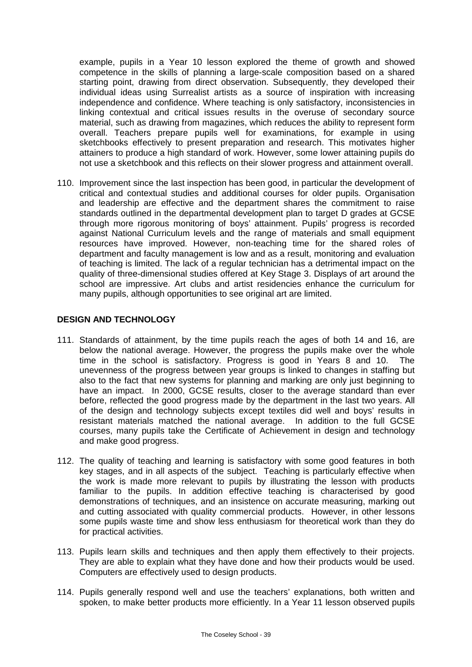example, pupils in a Year 10 lesson explored the theme of growth and showed competence in the skills of planning a large-scale composition based on a shared starting point, drawing from direct observation. Subsequently, they developed their individual ideas using Surrealist artists as a source of inspiration with increasing independence and confidence. Where teaching is only satisfactory, inconsistencies in linking contextual and critical issues results in the overuse of secondary source material, such as drawing from magazines, which reduces the ability to represent form overall. Teachers prepare pupils well for examinations, for example in using sketchbooks effectively to present preparation and research. This motivates higher attainers to produce a high standard of work. However, some lower attaining pupils do not use a sketchbook and this reflects on their slower progress and attainment overall.

110. Improvement since the last inspection has been good, in particular the development of critical and contextual studies and additional courses for older pupils. Organisation and leadership are effective and the department shares the commitment to raise standards outlined in the departmental development plan to target D grades at GCSE through more rigorous monitoring of boys' attainment. Pupils' progress is recorded against National Curriculum levels and the range of materials and small equipment resources have improved. However, non-teaching time for the shared roles of department and faculty management is low and as a result, monitoring and evaluation of teaching is limited. The lack of a regular technician has a detrimental impact on the quality of three-dimensional studies offered at Key Stage 3. Displays of art around the school are impressive. Art clubs and artist residencies enhance the curriculum for many pupils, although opportunities to see original art are limited.

### **DESIGN AND TECHNOLOGY**

- 111. Standards of attainment, by the time pupils reach the ages of both 14 and 16, are below the national average. However, the progress the pupils make over the whole time in the school is satisfactory. Progress is good in Years 8 and 10. The unevenness of the progress between year groups is linked to changes in staffing but also to the fact that new systems for planning and marking are only just beginning to have an impact. In 2000, GCSE results, closer to the average standard than ever before, reflected the good progress made by the department in the last two years. All of the design and technology subjects except textiles did well and boys' results in resistant materials matched the national average. In addition to the full GCSE courses, many pupils take the Certificate of Achievement in design and technology and make good progress.
- 112. The quality of teaching and learning is satisfactory with some good features in both key stages, and in all aspects of the subject. Teaching is particularly effective when the work is made more relevant to pupils by illustrating the lesson with products familiar to the pupils. In addition effective teaching is characterised by good demonstrations of techniques, and an insistence on accurate measuring, marking out and cutting associated with quality commercial products. However, in other lessons some pupils waste time and show less enthusiasm for theoretical work than they do for practical activities.
- 113. Pupils learn skills and techniques and then apply them effectively to their projects. They are able to explain what they have done and how their products would be used. Computers are effectively used to design products.
- 114. Pupils generally respond well and use the teachers' explanations, both written and spoken, to make better products more efficiently. In a Year 11 lesson observed pupils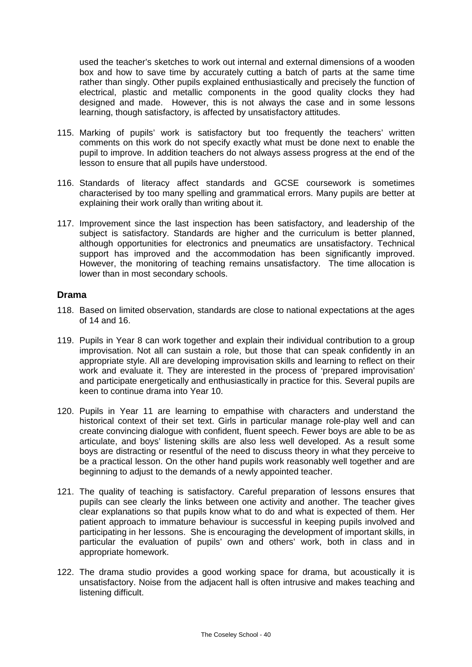used the teacher's sketches to work out internal and external dimensions of a wooden box and how to save time by accurately cutting a batch of parts at the same time rather than singly. Other pupils explained enthusiastically and precisely the function of electrical, plastic and metallic components in the good quality clocks they had designed and made. However, this is not always the case and in some lessons learning, though satisfactory, is affected by unsatisfactory attitudes.

- 115. Marking of pupils' work is satisfactory but too frequently the teachers' written comments on this work do not specify exactly what must be done next to enable the pupil to improve. In addition teachers do not always assess progress at the end of the lesson to ensure that all pupils have understood.
- 116. Standards of literacy affect standards and GCSE coursework is sometimes characterised by too many spelling and grammatical errors. Many pupils are better at explaining their work orally than writing about it.
- 117. Improvement since the last inspection has been satisfactory, and leadership of the subject is satisfactory. Standards are higher and the curriculum is better planned, although opportunities for electronics and pneumatics are unsatisfactory. Technical support has improved and the accommodation has been significantly improved. However, the monitoring of teaching remains unsatisfactory. The time allocation is lower than in most secondary schools.

## **Drama**

- 118. Based on limited observation, standards are close to national expectations at the ages of 14 and 16.
- 119. Pupils in Year 8 can work together and explain their individual contribution to a group improvisation. Not all can sustain a role, but those that can speak confidently in an appropriate style. All are developing improvisation skills and learning to reflect on their work and evaluate it. They are interested in the process of 'prepared improvisation' and participate energetically and enthusiastically in practice for this. Several pupils are keen to continue drama into Year 10.
- 120. Pupils in Year 11 are learning to empathise with characters and understand the historical context of their set text. Girls in particular manage role-play well and can create convincing dialogue with confident, fluent speech. Fewer boys are able to be as articulate, and boys' listening skills are also less well developed. As a result some boys are distracting or resentful of the need to discuss theory in what they perceive to be a practical lesson. On the other hand pupils work reasonably well together and are beginning to adjust to the demands of a newly appointed teacher.
- 121. The quality of teaching is satisfactory. Careful preparation of lessons ensures that pupils can see clearly the links between one activity and another. The teacher gives clear explanations so that pupils know what to do and what is expected of them. Her patient approach to immature behaviour is successful in keeping pupils involved and participating in her lessons. She is encouraging the development of important skills, in particular the evaluation of pupils' own and others' work, both in class and in appropriate homework.
- 122. The drama studio provides a good working space for drama, but acoustically it is unsatisfactory. Noise from the adjacent hall is often intrusive and makes teaching and listening difficult.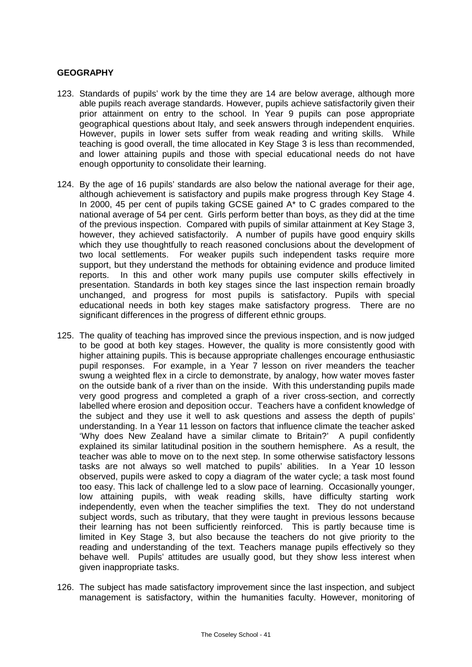### **GEOGRAPHY**

- 123. Standards of pupils' work by the time they are 14 are below average, although more able pupils reach average standards. However, pupils achieve satisfactorily given their prior attainment on entry to the school. In Year 9 pupils can pose appropriate geographical questions about Italy, and seek answers through independent enquiries. However, pupils in lower sets suffer from weak reading and writing skills. While teaching is good overall, the time allocated in Key Stage 3 is less than recommended, and lower attaining pupils and those with special educational needs do not have enough opportunity to consolidate their learning.
- 124. By the age of 16 pupils' standards are also below the national average for their age, although achievement is satisfactory and pupils make progress through Key Stage 4. In 2000, 45 per cent of pupils taking GCSE gained A\* to C grades compared to the national average of 54 per cent. Girls perform better than boys, as they did at the time of the previous inspection. Compared with pupils of similar attainment at Key Stage 3, however, they achieved satisfactorily. A number of pupils have good enquiry skills which they use thoughtfully to reach reasoned conclusions about the development of two local settlements. For weaker pupils such independent tasks require more support, but they understand the methods for obtaining evidence and produce limited reports. In this and other work many pupils use computer skills effectively in presentation. Standards in both key stages since the last inspection remain broadly unchanged, and progress for most pupils is satisfactory. Pupils with special educational needs in both key stages make satisfactory progress. There are no significant differences in the progress of different ethnic groups.
- 125. The quality of teaching has improved since the previous inspection, and is now judged to be good at both key stages. However, the quality is more consistently good with higher attaining pupils. This is because appropriate challenges encourage enthusiastic pupil responses. For example, in a Year 7 lesson on river meanders the teacher swung a weighted flex in a circle to demonstrate, by analogy, how water moves faster on the outside bank of a river than on the inside. With this understanding pupils made very good progress and completed a graph of a river cross-section, and correctly labelled where erosion and deposition occur. Teachers have a confident knowledge of the subject and they use it well to ask questions and assess the depth of pupils' understanding. In a Year 11 lesson on factors that influence climate the teacher asked 'Why does New Zealand have a similar climate to Britain?' A pupil confidently explained its similar latitudinal position in the southern hemisphere. As a result, the teacher was able to move on to the next step. In some otherwise satisfactory lessons tasks are not always so well matched to pupils' abilities. In a Year 10 lesson observed, pupils were asked to copy a diagram of the water cycle; a task most found too easy. This lack of challenge led to a slow pace of learning. Occasionally younger, low attaining pupils, with weak reading skills, have difficulty starting work independently, even when the teacher simplifies the text. They do not understand subject words, such as tributary, that they were taught in previous lessons because their learning has not been sufficiently reinforced. This is partly because time is limited in Key Stage 3, but also because the teachers do not give priority to the reading and understanding of the text. Teachers manage pupils effectively so they behave well. Pupils' attitudes are usually good, but they show less interest when given inappropriate tasks.
- 126. The subject has made satisfactory improvement since the last inspection, and subject management is satisfactory, within the humanities faculty. However, monitoring of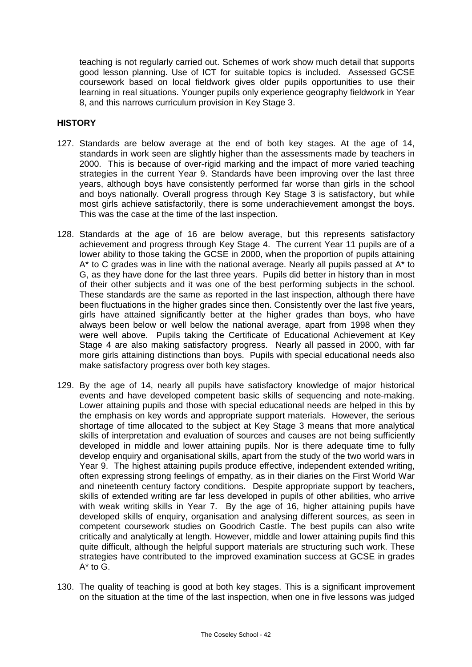teaching is not regularly carried out. Schemes of work show much detail that supports good lesson planning. Use of ICT for suitable topics is included. Assessed GCSE coursework based on local fieldwork gives older pupils opportunities to use their learning in real situations. Younger pupils only experience geography fieldwork in Year 8, and this narrows curriculum provision in Key Stage 3.

## **HISTORY**

- 127. Standards are below average at the end of both key stages. At the age of 14, standards in work seen are slightly higher than the assessments made by teachers in 2000. This is because of over-rigid marking and the impact of more varied teaching strategies in the current Year 9. Standards have been improving over the last three years, although boys have consistently performed far worse than girls in the school and boys nationally. Overall progress through Key Stage 3 is satisfactory, but while most girls achieve satisfactorily, there is some underachievement amongst the boys. This was the case at the time of the last inspection.
- 128. Standards at the age of 16 are below average, but this represents satisfactory achievement and progress through Key Stage 4. The current Year 11 pupils are of a lower ability to those taking the GCSE in 2000, when the proportion of pupils attaining A\* to C grades was in line with the national average. Nearly all pupils passed at A\* to G, as they have done for the last three years. Pupils did better in history than in most of their other subjects and it was one of the best performing subjects in the school. These standards are the same as reported in the last inspection, although there have been fluctuations in the higher grades since then. Consistently over the last five years, girls have attained significantly better at the higher grades than boys, who have always been below or well below the national average, apart from 1998 when they were well above. Pupils taking the Certificate of Educational Achievement at Key Stage 4 are also making satisfactory progress. Nearly all passed in 2000, with far more girls attaining distinctions than boys. Pupils with special educational needs also make satisfactory progress over both key stages.
- 129. By the age of 14, nearly all pupils have satisfactory knowledge of major historical events and have developed competent basic skills of sequencing and note-making. Lower attaining pupils and those with special educational needs are helped in this by the emphasis on key words and appropriate support materials. However, the serious shortage of time allocated to the subject at Key Stage 3 means that more analytical skills of interpretation and evaluation of sources and causes are not being sufficiently developed in middle and lower attaining pupils. Nor is there adequate time to fully develop enquiry and organisational skills, apart from the study of the two world wars in Year 9. The highest attaining pupils produce effective, independent extended writing, often expressing strong feelings of empathy, as in their diaries on the First World War and nineteenth century factory conditions. Despite appropriate support by teachers, skills of extended writing are far less developed in pupils of other abilities, who arrive with weak writing skills in Year 7. By the age of 16, higher attaining pupils have developed skills of enquiry, organisation and analysing different sources, as seen in competent coursework studies on Goodrich Castle. The best pupils can also write critically and analytically at length. However, middle and lower attaining pupils find this quite difficult, although the helpful support materials are structuring such work. These strategies have contributed to the improved examination success at GCSE in grades  $A^*$  to  $G$ .
- 130. The quality of teaching is good at both key stages. This is a significant improvement on the situation at the time of the last inspection, when one in five lessons was judged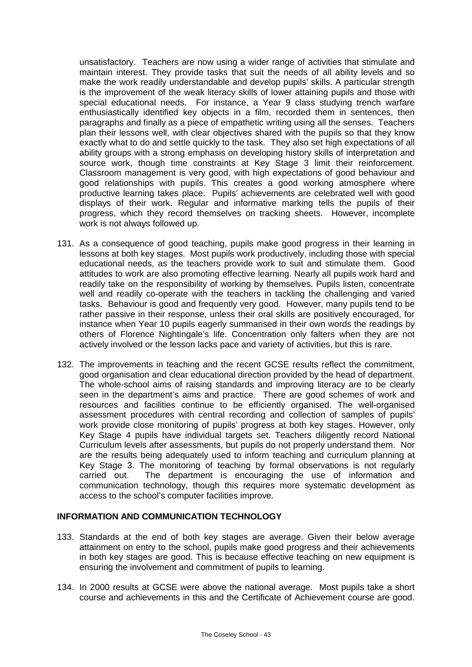unsatisfactory. Teachers are now using a wider range of activities that stimulate and maintain interest. They provide tasks that suit the needs of all ability levels and so make the work readily understandable and develop pupils' skills. A particular strength is the improvement of the weak literacy skills of lower attaining pupils and those with special educational needs. For instance, a Year 9 class studying trench warfare enthusiastically identified key objects in a film, recorded them in sentences, then paragraphs and finally as a piece of empathetic writing using all the senses. Teachers plan their lessons well, with clear objectives shared with the pupils so that they know exactly what to do and settle quickly to the task. They also set high expectations of all ability groups with a strong emphasis on developing history skills of interpretation and source work, though time constraints at Key Stage 3 limit their reinforcement. Classroom management is very good, with high expectations of good behaviour and good relationships with pupils. This creates a good working atmosphere where productive learning takes place. Pupils' achievements are celebrated well with good displays of their work. Regular and informative marking tells the pupils of their progress, which they record themselves on tracking sheets. However, incomplete work is not always followed up.

- 131. As a consequence of good teaching, pupils make good progress in their learning in lessons at both key stages. Most pupils work productively, including those with special educational needs, as the teachers provide work to suit and stimulate them. Good attitudes to work are also promoting effective learning. Nearly all pupils work hard and readily take on the responsibility of working by themselves. Pupils listen, concentrate well and readily co-operate with the teachers in tackling the challenging and varied tasks. Behaviour is good and frequently very good. However, many pupils tend to be rather passive in their response, unless their oral skills are positively encouraged, for instance when Year 10 pupils eagerly summarised in their own words the readings by others of Florence Nightingale's life. Concentration only falters when they are not actively involved or the lesson lacks pace and variety of activities, but this is rare.
- 132. The improvements in teaching and the recent GCSE results reflect the commitment, good organisation and clear educational direction provided by the head of department. The whole-school aims of raising standards and improving literacy are to be clearly seen in the department's aims and practice. There are good schemes of work and resources and facilities continue to be efficiently organised. The well-organised assessment procedures with central recording and collection of samples of pupils' work provide close monitoring of pupils' progress at both key stages. However, only Key Stage 4 pupils have individual targets set. Teachers diligently record National Curriculum levels after assessments, but pupils do not properly understand them. Nor are the results being adequately used to inform teaching and curriculum planning at Key Stage 3. The monitoring of teaching by formal observations is not regularly carried out. The department is encouraging the use of information and communication technology, though this requires more systematic development as access to the school's computer facilities improve.

### **INFORMATION AND COMMUNICATION TECHNOLOGY**

- 133. Standards at the end of both key stages are average. Given their below average attainment on entry to the school, pupils make good progress and their achievements in both key stages are good. This is because effective teaching on new equipment is ensuring the involvement and commitment of pupils to learning.
- 134. In 2000 results at GCSE were above the national average. Most pupils take a short course and achievements in this and the Certificate of Achievement course are good.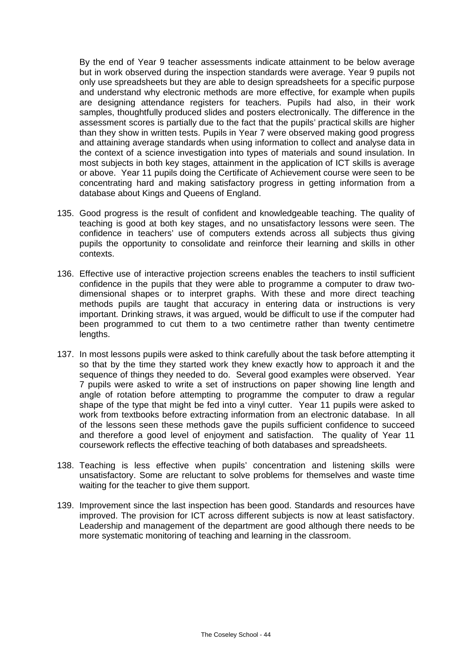By the end of Year 9 teacher assessments indicate attainment to be below average but in work observed during the inspection standards were average. Year 9 pupils not only use spreadsheets but they are able to design spreadsheets for a specific purpose and understand why electronic methods are more effective, for example when pupils are designing attendance registers for teachers. Pupils had also, in their work samples, thoughtfully produced slides and posters electronically. The difference in the assessment scores is partially due to the fact that the pupils' practical skills are higher than they show in written tests. Pupils in Year 7 were observed making good progress and attaining average standards when using information to collect and analyse data in the context of a science investigation into types of materials and sound insulation. In most subjects in both key stages, attainment in the application of ICT skills is average or above. Year 11 pupils doing the Certificate of Achievement course were seen to be concentrating hard and making satisfactory progress in getting information from a database about Kings and Queens of England.

- 135. Good progress is the result of confident and knowledgeable teaching. The quality of teaching is good at both key stages, and no unsatisfactory lessons were seen. The confidence in teachers' use of computers extends across all subjects thus giving pupils the opportunity to consolidate and reinforce their learning and skills in other contexts.
- 136. Effective use of interactive projection screens enables the teachers to instil sufficient confidence in the pupils that they were able to programme a computer to draw twodimensional shapes or to interpret graphs. With these and more direct teaching methods pupils are taught that accuracy in entering data or instructions is very important. Drinking straws, it was argued, would be difficult to use if the computer had been programmed to cut them to a two centimetre rather than twenty centimetre lengths.
- 137. In most lessons pupils were asked to think carefully about the task before attempting it so that by the time they started work they knew exactly how to approach it and the sequence of things they needed to do. Several good examples were observed. Year 7 pupils were asked to write a set of instructions on paper showing line length and angle of rotation before attempting to programme the computer to draw a regular shape of the type that might be fed into a vinyl cutter. Year 11 pupils were asked to work from textbooks before extracting information from an electronic database. In all of the lessons seen these methods gave the pupils sufficient confidence to succeed and therefore a good level of enjoyment and satisfaction. The quality of Year 11 coursework reflects the effective teaching of both databases and spreadsheets.
- 138. Teaching is less effective when pupils' concentration and listening skills were unsatisfactory. Some are reluctant to solve problems for themselves and waste time waiting for the teacher to give them support.
- 139. Improvement since the last inspection has been good. Standards and resources have improved. The provision for ICT across different subjects is now at least satisfactory. Leadership and management of the department are good although there needs to be more systematic monitoring of teaching and learning in the classroom.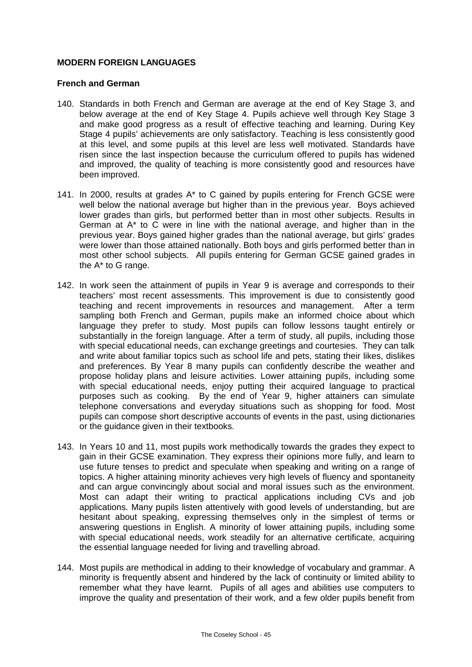### **MODERN FOREIGN LANGUAGES**

### **French and German**

- 140. Standards in both French and German are average at the end of Key Stage 3, and below average at the end of Key Stage 4. Pupils achieve well through Key Stage 3 and make good progress as a result of effective teaching and learning. During Key Stage 4 pupils' achievements are only satisfactory. Teaching is less consistently good at this level, and some pupils at this level are less well motivated. Standards have risen since the last inspection because the curriculum offered to pupils has widened and improved, the quality of teaching is more consistently good and resources have been improved.
- 141. In 2000, results at grades A\* to C gained by pupils entering for French GCSE were well below the national average but higher than in the previous year. Boys achieved lower grades than girls, but performed better than in most other subjects. Results in German at  $A^*$  to C were in line with the national average, and higher than in the previous year. Boys gained higher grades than the national average, but girls' grades were lower than those attained nationally. Both boys and girls performed better than in most other school subjects. All pupils entering for German GCSE gained grades in the A\* to G range.
- 142. In work seen the attainment of pupils in Year 9 is average and corresponds to their teachers' most recent assessments. This improvement is due to consistently good teaching and recent improvements in resources and management. After a term sampling both French and German, pupils make an informed choice about which language they prefer to study. Most pupils can follow lessons taught entirely or substantially in the foreign language. After a term of study, all pupils, including those with special educational needs, can exchange greetings and courtesies. They can talk and write about familiar topics such as school life and pets, stating their likes, dislikes and preferences. By Year 8 many pupils can confidently describe the weather and propose holiday plans and leisure activities. Lower attaining pupils, including some with special educational needs, enjoy putting their acquired language to practical purposes such as cooking. By the end of Year 9, higher attainers can simulate telephone conversations and everyday situations such as shopping for food. Most pupils can compose short descriptive accounts of events in the past, using dictionaries or the guidance given in their textbooks.
- 143. In Years 10 and 11, most pupils work methodically towards the grades they expect to gain in their GCSE examination. They express their opinions more fully, and learn to use future tenses to predict and speculate when speaking and writing on a range of topics. A higher attaining minority achieves very high levels of fluency and spontaneity and can argue convincingly about social and moral issues such as the environment. Most can adapt their writing to practical applications including CVs and job applications. Many pupils listen attentively with good levels of understanding, but are hesitant about speaking, expressing themselves only in the simplest of terms or answering questions in English. A minority of lower attaining pupils, including some with special educational needs, work steadily for an alternative certificate, acquiring the essential language needed for living and travelling abroad.
- 144. Most pupils are methodical in adding to their knowledge of vocabulary and grammar. A minority is frequently absent and hindered by the lack of continuity or limited ability to remember what they have learnt. Pupils of all ages and abilities use computers to improve the quality and presentation of their work, and a few older pupils benefit from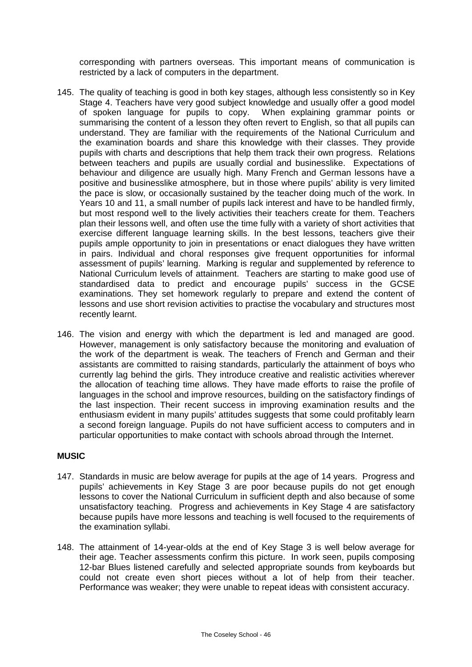corresponding with partners overseas. This important means of communication is restricted by a lack of computers in the department.

- 145. The quality of teaching is good in both key stages, although less consistently so in Key Stage 4. Teachers have very good subject knowledge and usually offer a good model of spoken language for pupils to copy. When explaining grammar points or summarising the content of a lesson they often revert to English, so that all pupils can understand. They are familiar with the requirements of the National Curriculum and the examination boards and share this knowledge with their classes. They provide pupils with charts and descriptions that help them track their own progress. Relations between teachers and pupils are usually cordial and businesslike. Expectations of behaviour and diligence are usually high. Many French and German lessons have a positive and businesslike atmosphere, but in those where pupils' ability is very limited the pace is slow, or occasionally sustained by the teacher doing much of the work. In Years 10 and 11, a small number of pupils lack interest and have to be handled firmly, but most respond well to the lively activities their teachers create for them. Teachers plan their lessons well, and often use the time fully with a variety of short activities that exercise different language learning skills. In the best lessons, teachers give their pupils ample opportunity to join in presentations or enact dialogues they have written in pairs. Individual and choral responses give frequent opportunities for informal assessment of pupils' learning. Marking is regular and supplemented by reference to National Curriculum levels of attainment. Teachers are starting to make good use of standardised data to predict and encourage pupils' success in the GCSE examinations. They set homework regularly to prepare and extend the content of lessons and use short revision activities to practise the vocabulary and structures most recently learnt.
- 146. The vision and energy with which the department is led and managed are good. However, management is only satisfactory because the monitoring and evaluation of the work of the department is weak. The teachers of French and German and their assistants are committed to raising standards, particularly the attainment of boys who currently lag behind the girls. They introduce creative and realistic activities wherever the allocation of teaching time allows. They have made efforts to raise the profile of languages in the school and improve resources, building on the satisfactory findings of the last inspection. Their recent success in improving examination results and the enthusiasm evident in many pupils' attitudes suggests that some could profitably learn a second foreign language. Pupils do not have sufficient access to computers and in particular opportunities to make contact with schools abroad through the Internet.

### **MUSIC**

- 147. Standards in music are below average for pupils at the age of 14 years. Progress and pupils' achievements in Key Stage 3 are poor because pupils do not get enough lessons to cover the National Curriculum in sufficient depth and also because of some unsatisfactory teaching. Progress and achievements in Key Stage 4 are satisfactory because pupils have more lessons and teaching is well focused to the requirements of the examination syllabi.
- 148. The attainment of 14-year-olds at the end of Key Stage 3 is well below average for their age. Teacher assessments confirm this picture. In work seen, pupils composing 12-bar Blues listened carefully and selected appropriate sounds from keyboards but could not create even short pieces without a lot of help from their teacher. Performance was weaker; they were unable to repeat ideas with consistent accuracy.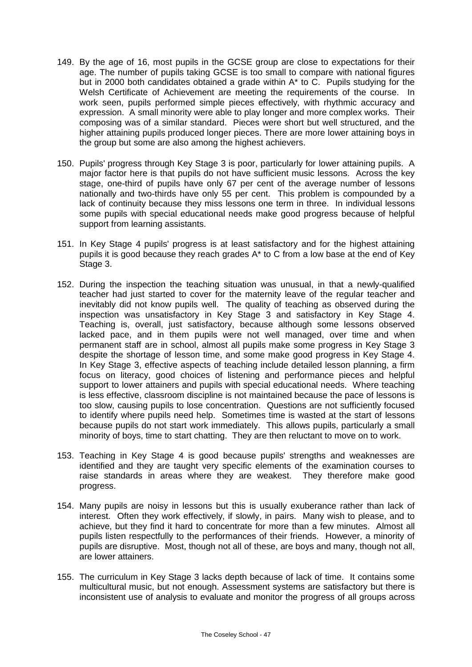- 149. By the age of 16, most pupils in the GCSE group are close to expectations for their age. The number of pupils taking GCSE is too small to compare with national figures but in 2000 both candidates obtained a grade within A\* to C. Pupils studying for the Welsh Certificate of Achievement are meeting the requirements of the course. In work seen, pupils performed simple pieces effectively, with rhythmic accuracy and expression. A small minority were able to play longer and more complex works. Their composing was of a similar standard. Pieces were short but well structured, and the higher attaining pupils produced longer pieces. There are more lower attaining boys in the group but some are also among the highest achievers.
- 150. Pupils' progress through Key Stage 3 is poor, particularly for lower attaining pupils. A major factor here is that pupils do not have sufficient music lessons. Across the key stage, one-third of pupils have only 67 per cent of the average number of lessons nationally and two-thirds have only 55 per cent. This problem is compounded by a lack of continuity because they miss lessons one term in three. In individual lessons some pupils with special educational needs make good progress because of helpful support from learning assistants.
- 151. In Key Stage 4 pupils' progress is at least satisfactory and for the highest attaining pupils it is good because they reach grades A\* to C from a low base at the end of Key Stage 3.
- 152. During the inspection the teaching situation was unusual, in that a newly-qualified teacher had just started to cover for the maternity leave of the regular teacher and inevitably did not know pupils well. The quality of teaching as observed during the inspection was unsatisfactory in Key Stage 3 and satisfactory in Key Stage 4. Teaching is, overall, just satisfactory, because although some lessons observed lacked pace, and in them pupils were not well managed, over time and when permanent staff are in school, almost all pupils make some progress in Key Stage 3 despite the shortage of lesson time, and some make good progress in Key Stage 4. In Key Stage 3, effective aspects of teaching include detailed lesson planning, a firm focus on literacy, good choices of listening and performance pieces and helpful support to lower attainers and pupils with special educational needs. Where teaching is less effective, classroom discipline is not maintained because the pace of lessons is too slow, causing pupils to lose concentration. Questions are not sufficiently focused to identify where pupils need help. Sometimes time is wasted at the start of lessons because pupils do not start work immediately. This allows pupils, particularly a small minority of boys, time to start chatting. They are then reluctant to move on to work.
- 153. Teaching in Key Stage 4 is good because pupils' strengths and weaknesses are identified and they are taught very specific elements of the examination courses to raise standards in areas where they are weakest. They therefore make good progress.
- 154. Many pupils are noisy in lessons but this is usually exuberance rather than lack of interest. Often they work effectively, if slowly, in pairs. Many wish to please, and to achieve, but they find it hard to concentrate for more than a few minutes. Almost all pupils listen respectfully to the performances of their friends. However, a minority of pupils are disruptive. Most, though not all of these, are boys and many, though not all, are lower attainers.
- 155. The curriculum in Key Stage 3 lacks depth because of lack of time. It contains some multicultural music, but not enough. Assessment systems are satisfactory but there is inconsistent use of analysis to evaluate and monitor the progress of all groups across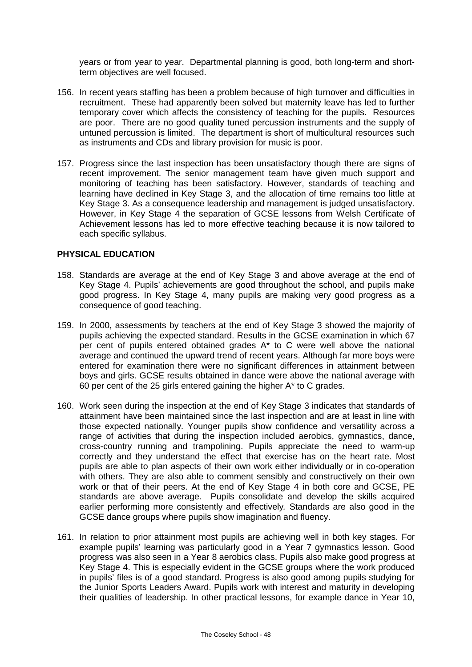years or from year to year. Departmental planning is good, both long-term and shortterm objectives are well focused.

- 156. In recent years staffing has been a problem because of high turnover and difficulties in recruitment. These had apparently been solved but maternity leave has led to further temporary cover which affects the consistency of teaching for the pupils. Resources are poor. There are no good quality tuned percussion instruments and the supply of untuned percussion is limited. The department is short of multicultural resources such as instruments and CDs and library provision for music is poor.
- 157. Progress since the last inspection has been unsatisfactory though there are signs of recent improvement. The senior management team have given much support and monitoring of teaching has been satisfactory. However, standards of teaching and learning have declined in Key Stage 3, and the allocation of time remains too little at Key Stage 3. As a consequence leadership and management is judged unsatisfactory. However, in Key Stage 4 the separation of GCSE lessons from Welsh Certificate of Achievement lessons has led to more effective teaching because it is now tailored to each specific syllabus.

### **PHYSICAL EDUCATION**

- 158. Standards are average at the end of Key Stage 3 and above average at the end of Key Stage 4. Pupils' achievements are good throughout the school, and pupils make good progress. In Key Stage 4, many pupils are making very good progress as a consequence of good teaching.
- 159. In 2000, assessments by teachers at the end of Key Stage 3 showed the majority of pupils achieving the expected standard. Results in the GCSE examination in which 67 per cent of pupils entered obtained grades A\* to C were well above the national average and continued the upward trend of recent years. Although far more boys were entered for examination there were no significant differences in attainment between boys and girls. GCSE results obtained in dance were above the national average with 60 per cent of the 25 girls entered gaining the higher A\* to C grades.
- 160. Work seen during the inspection at the end of Key Stage 3 indicates that standards of attainment have been maintained since the last inspection and are at least in line with those expected nationally. Younger pupils show confidence and versatility across a range of activities that during the inspection included aerobics, gymnastics, dance, cross-country running and trampolining. Pupils appreciate the need to warm-up correctly and they understand the effect that exercise has on the heart rate. Most pupils are able to plan aspects of their own work either individually or in co-operation with others. They are also able to comment sensibly and constructively on their own work or that of their peers. At the end of Key Stage 4 in both core and GCSE, PE standards are above average. Pupils consolidate and develop the skills acquired earlier performing more consistently and effectively*.* Standards are also good in the GCSE dance groups where pupils show imagination and fluency.
- 161. In relation to prior attainment most pupils are achieving well in both key stages. For example pupils' learning was particularly good in a Year 7 gymnastics lesson. Good progress was also seen in a Year 8 aerobics class. Pupils also make good progress at Key Stage 4. This is especially evident in the GCSE groups where the work produced in pupils' files is of a good standard. Progress is also good among pupils studying for the Junior Sports Leaders Award. Pupils work with interest and maturity in developing their qualities of leadership. In other practical lessons, for example dance in Year 10,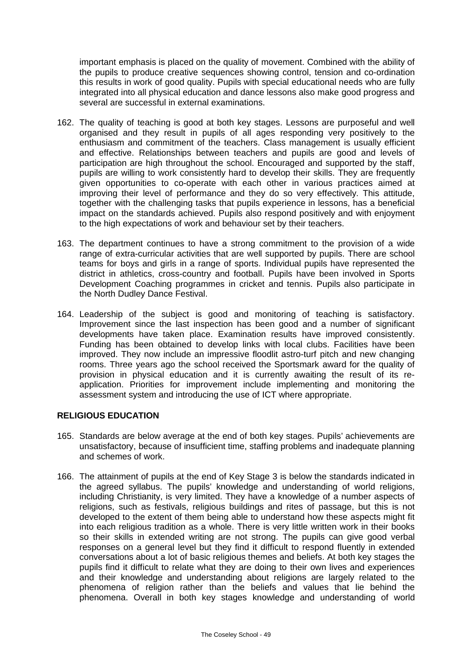important emphasis is placed on the quality of movement. Combined with the ability of the pupils to produce creative sequences showing control, tension and co-ordination this results in work of good quality. Pupils with special educational needs who are fully integrated into all physical education and dance lessons also make good progress and several are successful in external examinations.

- 162. The quality of teaching is good at both key stages. Lessons are purposeful and well organised and they result in pupils of all ages responding very positively to the enthusiasm and commitment of the teachers. Class management is usually efficient and effective. Relationships between teachers and pupils are good and levels of participation are high throughout the school. Encouraged and supported by the staff, pupils are willing to work consistently hard to develop their skills. They are frequently given opportunities to co-operate with each other in various practices aimed at improving their level of performance and they do so very effectively. This attitude, together with the challenging tasks that pupils experience in lessons, has a beneficial impact on the standards achieved. Pupils also respond positively and with enjoyment to the high expectations of work and behaviour set by their teachers.
- 163. The department continues to have a strong commitment to the provision of a wide range of extra-curricular activities that are well supported by pupils. There are school teams for boys and girls in a range of sports. Individual pupils have represented the district in athletics, cross-country and football. Pupils have been involved in Sports Development Coaching programmes in cricket and tennis. Pupils also participate in the North Dudley Dance Festival.
- 164. Leadership of the subject is good and monitoring of teaching is satisfactory. Improvement since the last inspection has been good and a number of significant developments have taken place. Examination results have improved consistently. Funding has been obtained to develop links with local clubs. Facilities have been improved. They now include an impressive floodlit astro-turf pitch and new changing rooms. Three years ago the school received the Sportsmark award for the quality of provision in physical education and it is currently awaiting the result of its reapplication. Priorities for improvement include implementing and monitoring the assessment system and introducing the use of ICT where appropriate.

### **RELIGIOUS EDUCATION**

- 165. Standards are below average at the end of both key stages. Pupils' achievements are unsatisfactory, because of insufficient time, staffing problems and inadequate planning and schemes of work.
- 166. The attainment of pupils at the end of Key Stage 3 is below the standards indicated in the agreed syllabus. The pupils' knowledge and understanding of world religions, including Christianity, is very limited. They have a knowledge of a number aspects of religions, such as festivals, religious buildings and rites of passage, but this is not developed to the extent of them being able to understand how these aspects might fit into each religious tradition as a whole. There is very little written work in their books so their skills in extended writing are not strong. The pupils can give good verbal responses on a general level but they find it difficult to respond fluently in extended conversations about a lot of basic religious themes and beliefs. At both key stages the pupils find it difficult to relate what they are doing to their own lives and experiences and their knowledge and understanding about religions are largely related to the phenomena of religion rather than the beliefs and values that lie behind the phenomena. Overall in both key stages knowledge and understanding of world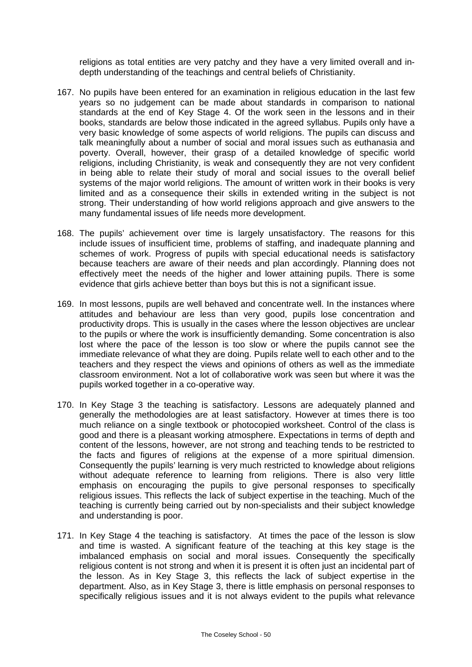religions as total entities are very patchy and they have a very limited overall and indepth understanding of the teachings and central beliefs of Christianity.

- 167. No pupils have been entered for an examination in religious education in the last few years so no judgement can be made about standards in comparison to national standards at the end of Key Stage 4. Of the work seen in the lessons and in their books, standards are below those indicated in the agreed syllabus. Pupils only have a very basic knowledge of some aspects of world religions. The pupils can discuss and talk meaningfully about a number of social and moral issues such as euthanasia and poverty. Overall, however, their grasp of a detailed knowledge of specific world religions, including Christianity, is weak and consequently they are not very confident in being able to relate their study of moral and social issues to the overall belief systems of the major world religions. The amount of written work in their books is very limited and as a consequence their skills in extended writing in the subject is not strong. Their understanding of how world religions approach and give answers to the many fundamental issues of life needs more development.
- 168. The pupils' achievement over time is largely unsatisfactory. The reasons for this include issues of insufficient time, problems of staffing, and inadequate planning and schemes of work. Progress of pupils with special educational needs is satisfactory because teachers are aware of their needs and plan accordingly. Planning does not effectively meet the needs of the higher and lower attaining pupils. There is some evidence that girls achieve better than boys but this is not a significant issue.
- 169. In most lessons, pupils are well behaved and concentrate well. In the instances where attitudes and behaviour are less than very good, pupils lose concentration and productivity drops. This is usually in the cases where the lesson objectives are unclear to the pupils or where the work is insufficiently demanding. Some concentration is also lost where the pace of the lesson is too slow or where the pupils cannot see the immediate relevance of what they are doing. Pupils relate well to each other and to the teachers and they respect the views and opinions of others as well as the immediate classroom environment. Not a lot of collaborative work was seen but where it was the pupils worked together in a co-operative way.
- 170. In Key Stage 3 the teaching is satisfactory. Lessons are adequately planned and generally the methodologies are at least satisfactory. However at times there is too much reliance on a single textbook or photocopied worksheet. Control of the class is good and there is a pleasant working atmosphere. Expectations in terms of depth and content of the lessons, however, are not strong and teaching tends to be restricted to the facts and figures of religions at the expense of a more spiritual dimension. Consequently the pupils' learning is very much restricted to knowledge about religions without adequate reference to learning from religions. There is also very little emphasis on encouraging the pupils to give personal responses to specifically religious issues. This reflects the lack of subject expertise in the teaching. Much of the teaching is currently being carried out by non-specialists and their subject knowledge and understanding is poor.
- 171. In Key Stage 4 the teaching is satisfactory. At times the pace of the lesson is slow and time is wasted. A significant feature of the teaching at this key stage is the imbalanced emphasis on social and moral issues. Consequently the specifically religious content is not strong and when it is present it is often just an incidental part of the lesson. As in Key Stage 3, this reflects the lack of subject expertise in the department. Also, as in Key Stage 3, there is little emphasis on personal responses to specifically religious issues and it is not always evident to the pupils what relevance